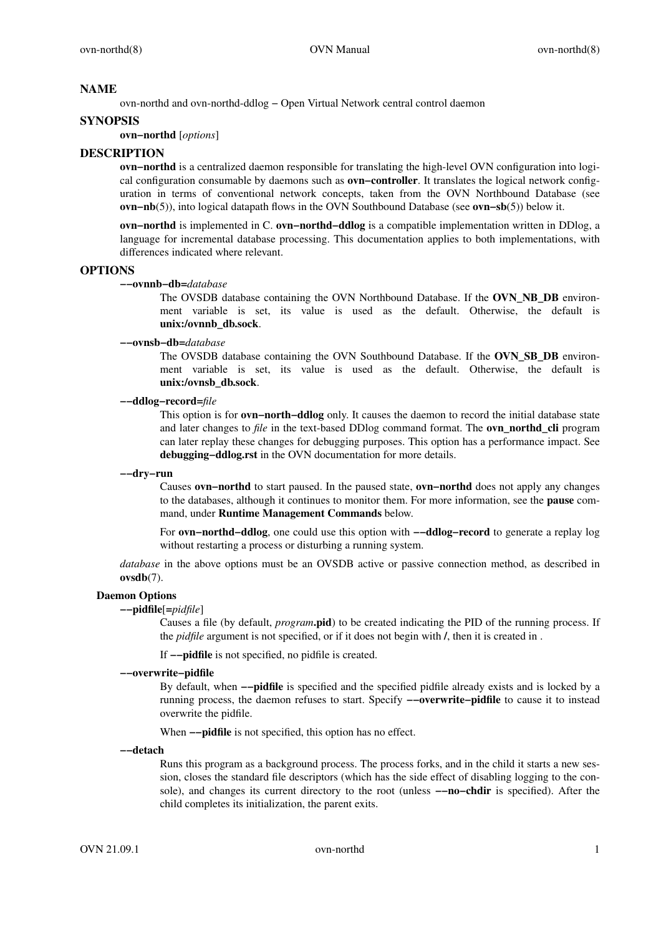### **NAME**

ovn-northd and ovn-northd-ddlog − Open Virtual Network central control daemon

#### **SYNOPSIS**

**ovn−northd** [*options*]

### **DESCRIPTION**

**ovn−northd** is a centralized daemon responsible for translating the high-level OVN configuration into logical configuration consumable by daemons such as **ovn−controller**. It translates the logical network configuration in terms of conventional network concepts, taken from the OVN Northbound Database (see **ovn−nb**(5)), into logical datapath flows in the OVN Southbound Database (see **ovn−sb**(5)) below it.

**ovn−northd** is implemented in C. **ovn−northd−ddlog** is a compatible implementation written in DDlog, a language for incremental database processing. This documentation applies to both implementations, with differences indicated where relevant.

#### **OPTIONS**

**−−ovnnb−db=***database*

The OVSDB database containing the OVN Northbound Database. If the **OVN\_NB\_DB** environment variable is set, its value is used as the default. Otherwise, the default is **unix:/ovnnb\_db.sock**.

**−−ovnsb−db=***database*

The OVSDB database containing the OVN Southbound Database. If the **OVN\_SB\_DB** environment variable is set, its value is used as the default. Otherwise, the default is **unix:/ovnsb\_db.sock**.

**−−ddlog−record=***file*

This option is for **ovn−north−ddlog** only. It causes the daemon to record the initial database state and later changes to *file* in the text-based DDlog command format. The **ovn\_northd\_cli** program can later replay these changes for debugging purposes. This option has a performance impact. See **debugging−ddlog.rst** in the OVN documentation for more details.

#### **−−dry−run**

Causes **ovn−northd** to start paused. In the paused state, **ovn−northd** does not apply any changes to the databases, although it continues to monitor them. For more information, see the **pause** command, under **Runtime Management Commands** below.

For **ovn−northd−ddlog**, one could use this option with **−−ddlog−record** to generate a replay log without restarting a process or disturbing a running system.

*database* in the above options must be an OVSDB active or passive connection method, as described in **ovsdb**(7).

#### **Daemon Options**

#### **−−pidfile**[**=***pidfile*]

Causes a file (by default, *program***.pid**) to be created indicating the PID of the running process. If the *pidfile* argument is not specified, or if it does not begin with **/**, then it is created in .

If **−−pidfile** is not specified, no pidfile is created.

## **−−overwrite−pidfile**

By default, when **−−pidfile** is specified and the specified pidfile already exists and is locked by a running process, the daemon refuses to start. Specify **−−overwrite−pidfile** to cause it to instead overwrite the pidfile.

When  $-\text{pidfile}$  is not specified, this option has no effect.

**−−detach**

Runs this program as a background process. The process forks, and in the child it starts a new session, closes the standard file descriptors (which has the side effect of disabling logging to the console), and changes its current directory to the root (unless **−−no−chdir** is specified). After the child completes its initialization, the parent exits.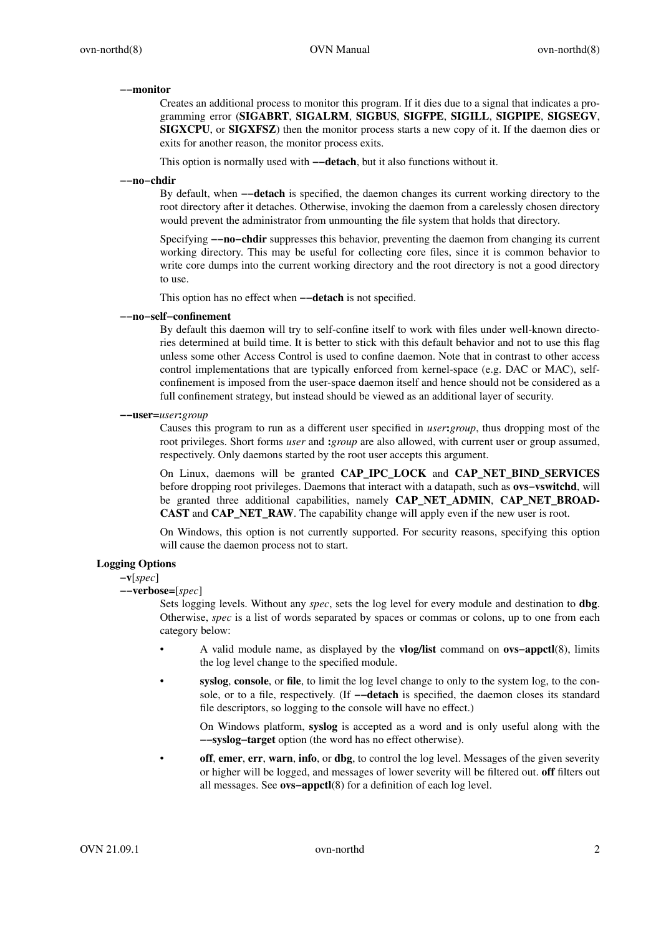#### **−−monitor**

Creates an additional process to monitor this program. If it dies due to a signal that indicates a programming error (**SIGABRT**, **SIGALRM**, **SIGBUS**, **SIGFPE**, **SIGILL**, **SIGPIPE**, **SIGSEGV**, **SIGXCPU**, or **SIGXFSZ**) then the monitor process starts a new copy of it. If the daemon dies or exits for another reason, the monitor process exits.

This option is normally used with **−−detach**, but it also functions without it.

#### **−−no−chdir**

By default, when **−−detach** is specified, the daemon changes its current working directory to the root directory after it detaches. Otherwise, invoking the daemon from a carelessly chosen directory would prevent the administrator from unmounting the file system that holds that directory.

Specifying **−−no−chdir** suppresses this behavior, preventing the daemon from changing its current working directory. This may be useful for collecting core files, since it is common behavior to write core dumps into the current working directory and the root directory is not a good directory to use.

This option has no effect when **−−detach** is not specified.

**−−no−self−confinement**

By default this daemon will try to self-confine itself to work with files under well-known directories determined at build time. It is better to stick with this default behavior and not to use this flag unless some other Access Control is used to confine daemon. Note that in contrast to other access control implementations that are typically enforced from kernel-space (e.g. DAC or MAC), selfconfinement is imposed from the user-space daemon itself and hence should not be considered as a full confinement strategy, but instead should be viewed as an additional layer of security.

**−−user=***user***:***group*

Causes this program to run as a different user specified in *user***:***group*, thus dropping most of the root privileges. Short forms *user* and **:***group* are also allowed, with current user or group assumed, respectively. Only daemons started by the root user accepts this argument.

On Linux, daemons will be granted **CAP\_IPC\_LOCK** and **CAP\_NET\_BIND\_SERVICES** before dropping root privileges. Daemons that interact with a datapath, such as **ovs−vswitchd**, will be granted three additional capabilities, namely **CAP\_NET\_ADMIN**, **CAP\_NET\_BROAD-CAST** and **CAP\_NET\_RAW**. The capability change will apply even if the new user is root.

On Windows, this option is not currently supported. For security reasons, specifying this option will cause the daemon process not to start.

## **Logging Options**

**−v**[*spec*]

**−−verbose=**[*spec*]

Sets logging levels. Without any *spec*, sets the log level for every module and destination to **dbg**. Otherwise, *spec* is a list of words separated by spaces or commas or colons, up to one from each category below:

- A valid module name, as displayed by the **vlog/list** command on **ovs−appctl**(8), limits the log level change to the specified module.
- **syslog**, **console**, or **file**, to limit the log level change to only to the system log, to the console, or to a file, respectively. (If **−−detach** is specified, the daemon closes its standard file descriptors, so logging to the console will have no effect.)

On Windows platform, **syslog** is accepted as a word and is only useful along with the **−−syslog−target** option (the word has no effect otherwise).

**off**, **emer**, **err**, **warn**, **info**, or **dbg**, to control the log level. Messages of the given severity or higher will be logged, and messages of lower severity will be filtered out. **off** filters out all messages. See **ovs−appctl**(8) for a definition of each log level.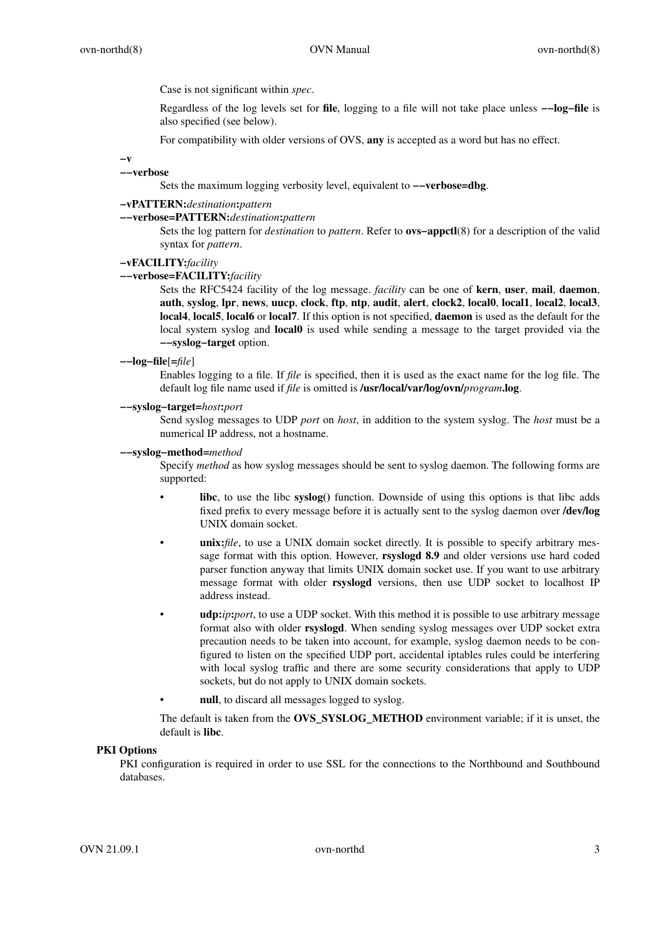Case is not significant within *spec*.

Regardless of the log levels set for **file**, logging to a file will not take place unless **−−log−file** is also specified (see below).

For compatibility with older versions of OVS, **any** is accepted as a word but has no effect.

**−v**

#### **−−verbose**

Sets the maximum logging verbosity level, equivalent to **−−verbose=dbg**.

# **−vPATTERN:***destination***:***pattern*

**−−verbose=PATTERN:***destination***:***pattern*

Sets the log pattern for *destination* to *pattern*. Refer to **ovs−appctl**(8) for a description of the valid syntax for *pattern*.

## **−vFACILITY:***facility*

#### **−−verbose=FACILITY:***facility*

Sets the RFC5424 facility of the log message. *facility* can be one of **kern**, **user**, **mail**, **daemon**, **auth**, **syslog**, **lpr**, **news**, **uucp**, **clock**, **ftp**, **ntp**, **audit**, **alert**, **clock2**, **local0**, **local1**, **local2**, **local3**, **local4**, **local5**, **local6** or **local7**. If this option is not specified, **daemon** is used as the default for the local system syslog and **local0** is used while sending a message to the target provided via the **−−syslog−target** option.

#### **−−log−file**[**=***file*]

Enables logging to a file. If *file* is specified, then it is used as the exact name for the log file. The default log file name used if *file* is omitted is **/usr/local/var/log/ovn/***program***.log**.

#### **−−syslog−target=***host***:***port*

Send syslog messages to UDP *port* on *host*, in addition to the system syslog. The *host* must be a numerical IP address, not a hostname.

#### **−−syslog−method=***method*

Specify *method* as how syslog messages should be sent to syslog daemon. The following forms are supported:

- **libc**, to use the libc **syslog()** function. Downside of using this options is that libc adds fixed prefix to every message before it is actually sent to the syslog daemon over **/dev/log** UNIX domain socket.
- **unix:***file*, to use a UNIX domain socket directly. It is possible to specify arbitrary message format with this option. However, **rsyslogd 8.9** and older versions use hard coded parser function anyway that limits UNIX domain socket use. If you want to use arbitrary message format with older **rsyslogd** versions, then use UDP socket to localhost IP address instead.
- **udp:***ip***:***port*, to use a UDP socket. With this method it is possible to use arbitrary message format also with older **rsyslogd**. When sending syslog messages over UDP socket extra precaution needs to be taken into account, for example, syslog daemon needs to be configured to listen on the specified UDP port, accidental iptables rules could be interfering with local syslog traffic and there are some security considerations that apply to UDP sockets, but do not apply to UNIX domain sockets.
	- null, to discard all messages logged to syslog.

The default is taken from the **OVS\_SYSLOG\_METHOD** environment variable; if it is unset, the default is **libc**.

### **PKI Options**

PKI configuration is required in order to use SSL for the connections to the Northbound and Southbound databases.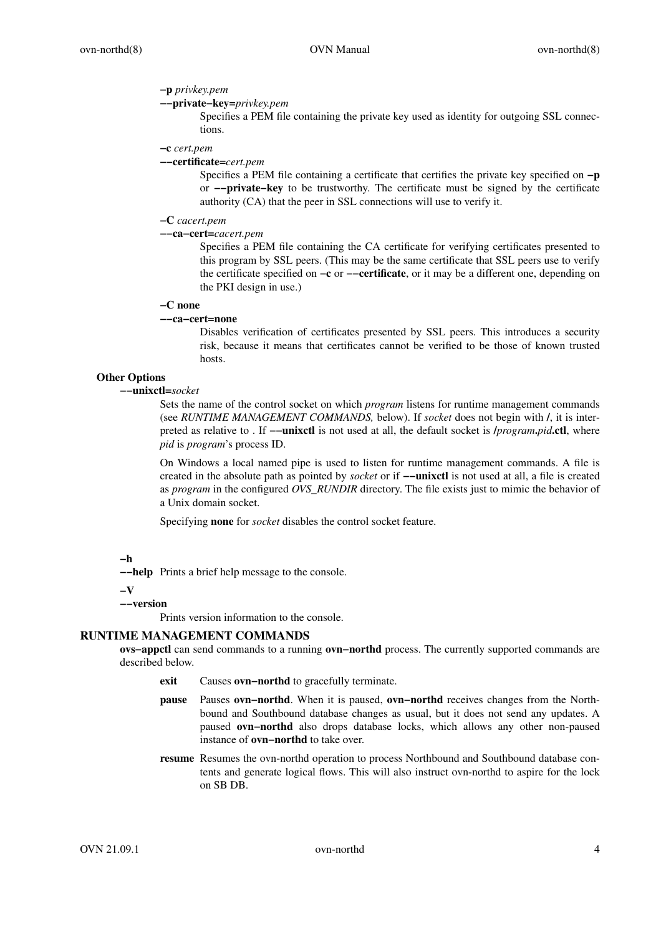### **−p** *privkey.pem*

## **−−private−key=***privkey.pem*

Specifies a PEM file containing the private key used as identity for outgoing SSL connections.

#### **−c** *cert.pem*

### **−−certificate=***cert.pem*

Specifies a PEM file containing a certificate that certifies the private key specified on **−p** or **−−private−key** to be trustworthy. The certificate must be signed by the certificate authority (CA) that the peer in SSL connections will use to verify it.

### **−C** *cacert.pem*

#### **−−ca−cert=***cacert.pem*

Specifies a PEM file containing the CA certificate for verifying certificates presented to this program by SSL peers. (This may be the same certificate that SSL peers use to verify the certificate specified on **−c** or **−−certificate**, or it may be a different one, depending on the PKI design in use.)

#### **−C none**

### **−−ca−cert=none**

Disables verification of certificates presented by SSL peers. This introduces a security risk, because it means that certificates cannot be verified to be those of known trusted hosts.

# **Other Options**

### **−−unixctl=***socket*

Sets the name of the control socket on which *program* listens for runtime management commands (see *RUNTIME MANAGEMENT COMMANDS,* below). If *socket* does not begin with **/**, it is interpreted as relative to.If **−−unixctl** is not used at all, the default socket is **/***program***.***pid***.ctl**, where *pid* is *program*'s process ID.

On Windows a local named pipe is used to listen for runtime management commands. A file is created in the absolute path as pointed by *socket* or if **−−unixctl** is not used at all, a file is created as *program* in the configured *OVS\_RUNDIR* directory. The file exists just to mimic the behavior of a Unix domain socket.

Specifying **none** for *socket* disables the control socket feature.

### **−h**

**−−help** Prints a brief help message to the console.

**−V**

#### **−−version**

Prints version information to the console.

### **RUNTIME MANAGEMENT COMMANDS**

**ovs−appctl** can send commands to a running **ovn−northd** process. The currently supported commands are described below.

- **exit** Causes **ovn−northd** to gracefully terminate.
- **pause** Pauses **ovn−northd**. When it is paused, **ovn−northd** receives changes from the Northbound and Southbound database changes as usual, but it does not send any updates. A paused **ovn−northd** also drops database locks, which allows any other non-paused instance of **ovn−northd** to take over.
- **resume** Resumes the ovn-northd operation to process Northbound and Southbound database contents and generate logical flows. This will also instruct ovn-northd to aspire for the lock on SB DB.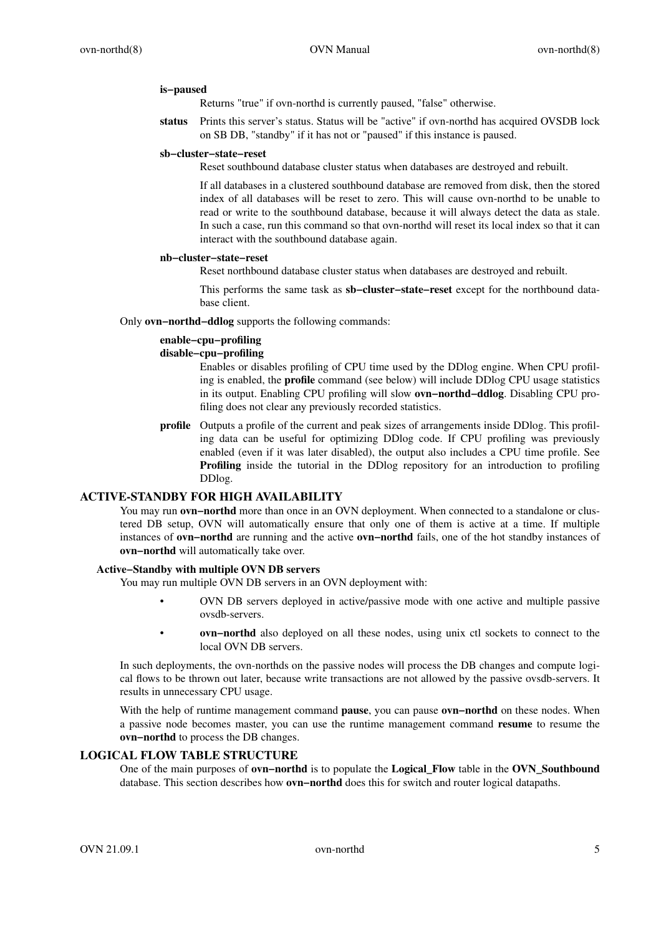### **is−paused**

Returns "true" if ovn-northd is currently paused, "false" otherwise.

**status** Prints this server's status. Status will be "active" if ovn-northd has acquired OVSDB lock on SB DB, "standby" if it has not or "paused" if this instance is paused.

#### **sb−cluster−state−reset**

Reset southbound database cluster status when databases are destroyed and rebuilt.

If all databases in a clustered southbound database are removed from disk, then the stored index of all databases will be reset to zero. This will cause ovn-northd to be unable to read or write to the southbound database, because it will always detect the data as stale. In such a case, run this command so that ovn-northd will reset its local index so that it can interact with the southbound database again.

#### **nb−cluster−state−reset**

Reset northbound database cluster status when databases are destroyed and rebuilt.

This performs the same task as **sb−cluster−state−reset** except for the northbound database client.

Only **ovn−northd−ddlog** supports the following commands:

### **enable−cpu−profiling**

#### **disable−cpu−profiling**

Enables or disables profiling of CPU time used by the DDlog engine. When CPU profiling is enabled, the **profile** command (see below) will include DDlog CPU usage statistics in its output. Enabling CPU profiling will slow **ovn−northd−ddlog**. Disabling CPU profiling does not clear any previously recorded statistics.

**profile** Outputs a profile of the current and peak sizes of arrangements inside DDlog. This profiling data can be useful for optimizing DDlog code. If CPU profiling was previously enabled (even if it was later disabled), the output also includes a CPU time profile. See **Profiling** inside the tutorial in the DDlog repository for an introduction to profiling DDlog.

# **ACTIVE-STANDBY FOR HIGH AVAILABILITY**

You may run **ovn−northd** more than once in an OVN deployment. When connected to a standalone or clustered DB setup, OVN will automatically ensure that only one of them is active at a time. If multiple instances of **ovn−northd** are running and the active **ovn−northd** fails, one of the hot standby instances of **ovn−northd** will automatically take over.

### **Active−Standby with multiple OVN DB servers**

You may run multiple OVN DB servers in an OVN deployment with:

- OVN DB servers deployed in active/passive mode with one active and multiple passive ovsdb-servers.
- **ovn−northd** also deployed on all these nodes, using unix ctl sockets to connect to the local OVN DB servers.

In such deployments, the ovn-northds on the passive nodes will process the DB changes and compute logical flows to be thrown out later, because write transactions are not allowed by the passive ovsdb-servers. It results in unnecessary CPU usage.

With the help of runtime management command **pause**, you can pause **ovn−northd** on these nodes. When a passive node becomes master, you can use the runtime management command **resume** to resume the **ovn−northd** to process the DB changes.

## **LOGICAL FLOW TABLE STRUCTURE**

One of the main purposes of **ovn−northd** is to populate the **Logical\_Flow** table in the **OVN\_Southbound** database. This section describes how **ovn−northd** does this for switch and router logical datapaths.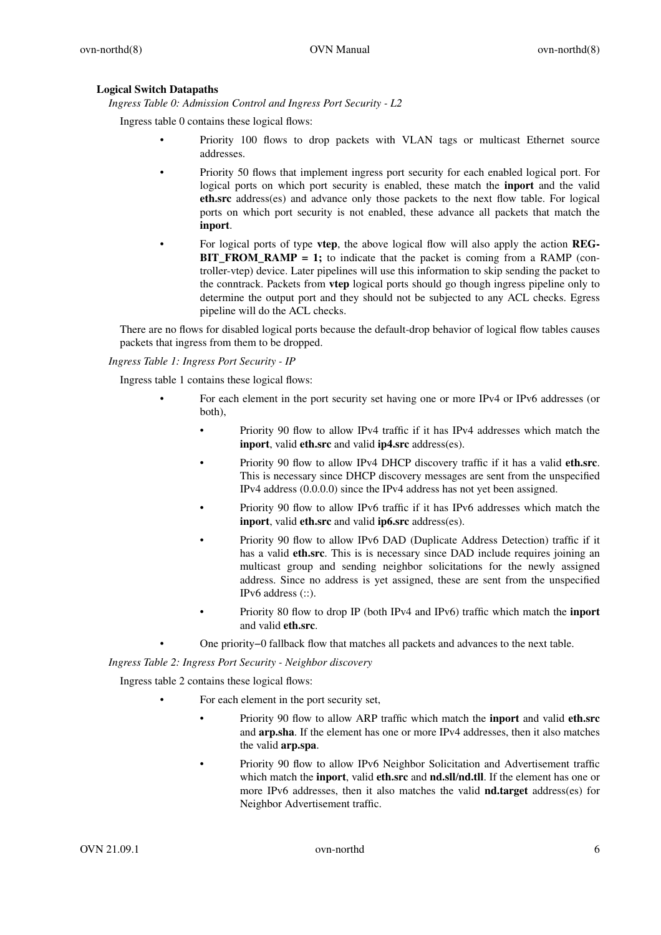# **Logical Switch Datapaths**

*Ingress Table 0: Admission Control and Ingress Port Security - L2*

Ingress table 0 contains these logical flows:

- Priority 100 flows to drop packets with VLAN tags or multicast Ethernet source addresses.
- Priority 50 flows that implement ingress port security for each enabled logical port. For logical ports on which port security is enabled, these match the **inport** and the valid **eth.src** address(es) and advance only those packets to the next flow table. For logical ports on which port security is not enabled, these advance all packets that match the **inport**.
- For logical ports of type **vtep**, the above logical flow will also apply the action **REG-BIT\_FROM\_RAMP = 1;** to indicate that the packet is coming from a RAMP (controller-vtep) device. Later pipelines will use this information to skip sending the packet to the conntrack. Packets from **vtep** logical ports should go though ingress pipeline only to determine the output port and they should not be subjected to any ACL checks. Egress pipeline will do the ACL checks.

There are no flows for disabled logical ports because the default-drop behavior of logical flow tables causes packets that ingress from them to be dropped.

*Ingress Table 1: Ingress Port Security - IP*

Ingress table 1 contains these logical flows:

- For each element in the port security set having one or more IPv4 or IPv6 addresses (or both),
	- Priority 90 flow to allow IPv4 traffic if it has IPv4 addresses which match the **inport**, valid **eth.src** and valid **ip4.src** address(es).
	- Priority 90 flow to allow IPv4 DHCP discovery traffic if it has a valid **eth.src**. This is necessary since DHCP discovery messages are sent from the unspecified IPv4 address (0.0.0.0) since the IPv4 address has not yet been assigned.
	- Priority 90 flow to allow IPv6 traffic if it has IPv6 addresses which match the **inport**, valid **eth.src** and valid **ip6.src** address(es).
	- Priority 90 flow to allow IPv6 DAD (Duplicate Address Detection) traffic if it has a valid **eth.src**. This is is necessary since DAD include requires joining an multicast group and sending neighbor solicitations for the newly assigned address. Since no address is yet assigned, these are sent from the unspecified IPv6 address (::).
	- Priority 80 flow to drop IP (both IPv4 and IPv6) traffic which match the **inport** and valid **eth.src**.
	- One priority−0 fallback flow that matches all packets and advances to the next table.

*Ingress Table 2: Ingress Port Security - Neighbor discovery*

Ingress table 2 contains these logical flows:

- For each element in the port security set,
	- Priority 90 flow to allow ARP traffic which match the **inport** and valid **eth.src** and **arp.sha**. If the element has one or more IPv4 addresses, then it also matches the valid **arp.spa**.
	- Priority 90 flow to allow IPv6 Neighbor Solicitation and Advertisement traffic which match the **inport**, valid **eth.src** and **nd.sll**/**nd.tll**. If the element has one or more IPv6 addresses, then it also matches the valid **nd.target** address(es) for Neighbor Advertisement traffic.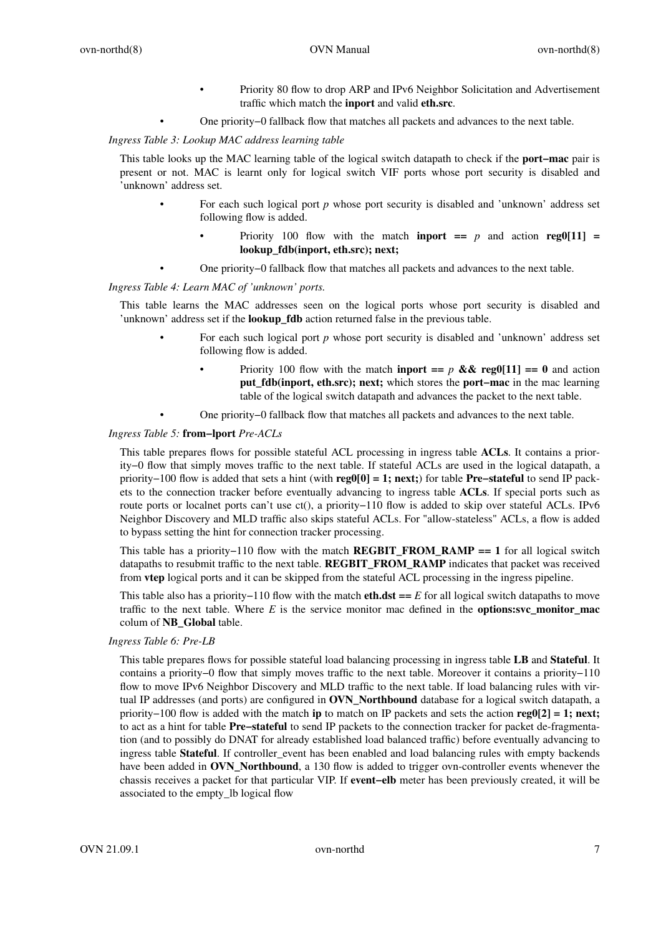- Priority 80 flow to drop ARP and IPv6 Neighbor Solicitation and Advertisement traffic which match the **inport** and valid **eth.src**.
- One priority−0 fallback flow that matches all packets and advances to the next table.

*Ingress Table 3: Lookup MAC address learning table*

This table looks up the MAC learning table of the logical switch datapath to check if the **port−mac** pair is present or not. MAC is learnt only for logical switch VIF ports whose port security is disabled and 'unknown' address set.

- For each such logical port *p* whose port security is disabled and 'unknown' address set following flow is added.
	- Priority 100 flow with the match **inport ==**  $p$  and action **reg0**[11] = **lookup\_fdb(inport, eth.src); next;**
- One priority−0 fallback flow that matches all packets and advances to the next table.

*Ingress Table 4: Learn MAC of 'unknown' ports.*

This table learns the MAC addresses seen on the logical ports whose port security is disabled and 'unknown' address set if the **lookup\_fdb** action returned false in the previous table.

- For each such logical port *p* whose port security is disabled and 'unknown' address set following flow is added.
	- Priority 100 flow with the match **inport ==**  $p \& \& \text{reg0}[11] == 0$  and action **put\_fdb(inport, eth.src); next;** which stores the **port−mac** in the mac learning table of the logical switch datapath and advances the packet to the next table.
- One priority−0 fallback flow that matches all packets and advances to the next table.

## *Ingress Table 5:* **from−lport** *Pre-ACLs*

This table prepares flows for possible stateful ACL processing in ingress table **ACLs**. It contains a priority−0 flow that simply moves traffic to the next table. If stateful ACLs are used in the logical datapath, a priority−100 flow is added that sets a hint (with **reg0[0] = 1; next;**) for table **Pre−stateful** to send IP packets to the connection tracker before eventually advancing to ingress table **ACLs**. If special ports such as route ports or localnet ports can't use ct(), a priority−110 flow is added to skip over stateful ACLs. IPv6 Neighbor Discovery and MLD traffic also skips stateful ACLs. For "allow-stateless" ACLs, a flow is added to bypass setting the hint for connection tracker processing.

This table has a priority−110 flow with the match **REGBIT\_FROM\_RAMP == 1** for all logical switch datapaths to resubmit traffic to the next table. **REGBIT\_FROM\_RAMP** indicates that packet was received from **vtep** logical ports and it can be skipped from the stateful ACL processing in the ingress pipeline.

This table also has a priority−110 flow with the match **eth.dst ==** *E* for all logical switch datapaths to move traffic to the next table. Where *E* is the service monitor mac defined in the **options:svc\_monitor\_mac** colum of **NB\_Global** table.

### *Ingress Table 6: Pre-LB*

This table prepares flows for possible stateful load balancing processing in ingress table **LB** and **Stateful**. It contains a priority−0 flow that simply moves traffic to the next table. Moreover it contains a priority−110 flow to move IPv6 Neighbor Discovery and MLD traffic to the next table. If load balancing rules with virtual IP addresses (and ports) are configured in **OVN\_Northbound** database for a logical switch datapath, a priority−100 flow is added with the match **ip** to match on IP packets and sets the action **reg0[2] = 1; next;** to act as a hint for table **Pre−stateful** to send IP packets to the connection tracker for packet de-fragmentation (and to possibly do DNAT for already established load balanced traffic) before eventually advancing to ingress table **Stateful**. If controller\_event has been enabled and load balancing rules with empty backends have been added in **OVN\_Northbound**, a 130 flow is added to trigger ovn-controller events whenever the chassis receives a packet for that particular VIP. If **event–elb** meter has been previously created, it will be associated to the empty\_lb logical flow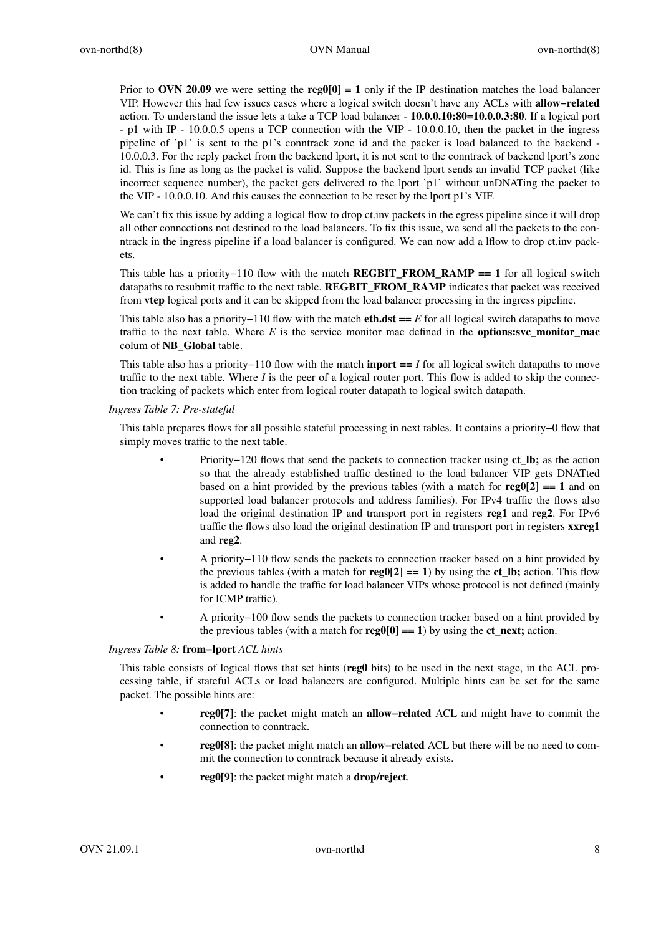Prior to **OVN 20.09** we were setting the **reg0[0]** = 1 only if the IP destination matches the load balancer VIP. However this had few issues cases where a logical switch doesn't have any ACLs with **allow-related** action. To understand the issue lets a takeaTCP load balancer - **10.0.0.10:80=10.0.0.3:80**. If a logical port - p1 with IP - 10.0.0.5 opens a TCP connection with the VIP - 10.0.0.10, then the packet in the ingress pipeline of 'p1' is sent to the p1's conntrack zone id and the packet is load balanced to the backend - 10.0.0.3. For the reply packet from the backend lport, it is not sent to the conntrack of backend lport's zone id. This is fine as long as the packet is valid. Suppose the backend lport sends an invalid TCP packet (like incorrect sequence number), the packet gets delivered to the lport 'p1' without unDNATing the packet to the VIP - 10.0.0.10. And this causes the connection to be reset by the lport p1's VIF.

We can't fix this issue by adding a logical flow to drop ct. inv packets in the egress pipeline since it will drop all other connections not destined to the load balancers. To fix this issue, we send all the packets to the conntrack in the ingress pipeline if a load balancer is configured. We can now add a lflow to drop ct.inv packets.

This table has a priority−110 flow with the match **REGBIT\_FROM\_RAMP == 1** for all logical switch datapaths to resubmit traffic to the next table. **REGBIT\_FROM\_RAMP** indicates that packet was received from **vtep** logical ports and it can be skipped from the load balancer processing in the ingress pipeline.

This table also has a priority−110 flow with the match **eth.dst ==** *E* for all logical switch datapaths to move traffic to the next table. Where  $E$  is the service monitor mac defined in the **options:svc** monitor mac colum of **NB\_Global** table.

This table also has a priority−110 flow with the match **inport ==** *I* for all logical switch datapaths to move traffic to the next table. Where *I* is the peer of a logical router port. This flow is added to skip the connection tracking of packets which enter from logical router datapath to logical switch datapath.

*Ingress Table 7: Pre-stateful*

This table prepares flows for all possible stateful processing in next tables. It contains a priority−0 flow that simply moves traffic to the next table.

- Priority−120 flows that send the packets to connection tracker using **ct\_lb;** as the action so that the already established traffic destined to the load balancer VIP gets DNATted based on a hint provided by the previous tables (with a match for  $\text{reg0}[2] == 1$  and on supported load balancer protocols and address families). For IPv4 traffic the flows also load the original destination IP and transport port in registers **reg1** and **reg2**. For IPv6 traffic the flows also load the original destination IP and transport port in registers **xxreg1** and **reg2**.
- A priority−110 flow sends the packets to connection tracker based on a hint provided by the previous tables (with a match for  $\text{reg}(|2| == 1)$  by using the **ct lb**; action. This flow is added to handle the traffic for load balancer VIPs whose protocol is not defined (mainly for ICMP traffic).
- A priority−100 flow sends the packets to connection tracker based on a hint provided by the previous tables (with a match for  $\text{reg}(0[0] == 1)$  by using the **ct\_next;** action.

*Ingress Table 8:* **from−lport** *ACL hints*

This table consists of logical flows that set hints (**reg0** bits) to be used in the next stage, in the ACL processing table, if stateful ACLs or load balancers are configured. Multiple hints can be set for the same packet. The possible hints are:

- **reg0[7]**: the packet might match an **allow−related** ACL and might have to commit the connection to conntrack.
- **reg0[8]**: the packet might match an **allow−related** ACL but there will be no need to commit the connection to conntrack because it already exists.
- **reg0[9]**: the packet might match a **drop/reject**.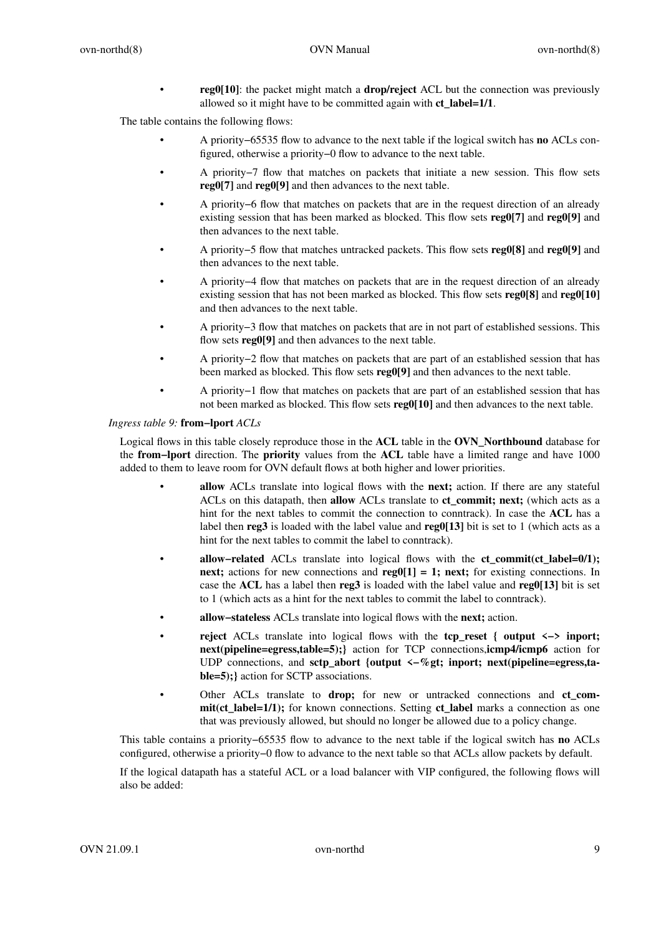• **reg0[10]**: the packet might match a **drop/reject** ACL but the connection was previously allowed so it might have to be committed again with **ct\_label=1/1**.

The table contains the following flows:

- A priority−65535 flow to advance to the next table if the logical switch has **no** ACLs configured, otherwise a priority−0 flow to advance to the next table.
- A priority−7 flow that matches on packets that initiate a new session. This flow sets **reg0[7]** and **reg0[9]** and then advances to the next table.
- A priority−6 flow that matches on packets that are in the request direction of an already existing session that has been marked as blocked. This flow sets **reg0[7]** and **reg0[9]** and then advances to the next table.
- A priority−5 flow that matches untracked packets. This flow sets **reg0[8]** and **reg0[9]** and then advances to the next table.
- A priority−4 flow that matches on packets that are in the request direction of an already existing session that has not been marked as blocked. This flow sets **reg0[8]** and **reg0[10]** and then advances to the next table.
- A priority−3 flow that matches on packets that are in not part of established sessions. This flow sets **reg0[9]** and then advances to the next table.
- A priority−2 flow that matches on packets that are part of an established session that has been marked as blocked. This flow sets **reg0[9]** and then advances to the next table.
- A priority−1 flow that matches on packets that are part of an established session that has not been marked as blocked. This flow sets **reg0[10]** and then advances to the next table.

### *Ingress table 9:* **from−lport** *ACLs*

Logical flows in this table closely reproduce those in the **ACL** table in the **OVN\_Northbound** database for the **from−lport** direction. The **priority** values from the **ACL** table have a limited range and have 1000 added to them to leave room for OVN default flows at both higher and lower priorities.

- **allow** ACLs translate into logical flows with the **next;** action. If there are any stateful ACLs on this datapath, then **allow** ACLs translate to **ct\_commit; next;** (which acts as a hint for the next tables to commit the connection to conntrack). In case the **ACL** has a label then **reg3** is loaded with the label value and **reg0[13]** bit is set to 1 (which acts as a hint for the next tables to commit the label to conntrack).
- **allow-related** ACLs translate into logical flows with the **ct** commit(ct label=0/1); **next;** actions for new connections and **reg0[1] = 1; next;** for existing connections. In case the **ACL** has a label then **reg3** is loaded with the label value and **reg0[13]** bit is set to 1 (which acts as a hint for the next tables to commit the label to conntrack).
- **allow−stateless** ACLs translate into logical flows with the **next;** action.
- **reject** ACLs translate into logical flows with the **tcp\_reset { output <−> inport; next(pipeline=egress,table=5);}** action for TCP connections,**icmp4/icmp6** action for UDP connections, and **sctp\_abort {output <−%gt; inport; next(pipeline=egress,table=5);}** action for SCTP associations.
- Other ACLs translate to **drop;** for new or untracked connections and **ct\_commit(ct\_label=1/1);** for known connections. Setting **ct\_label** marks a connection as one that was previously allowed, but should no longer be allowed due to a policy change.

This table contains a priority−65535 flow to advance to the next table if the logical switch has **no** ACLs configured, otherwise a priority−0 flow to advance to the next table so that ACLs allow packets by default.

If the logical datapath has a stateful ACL or a load balancer with VIP configured, the following flows will also be added: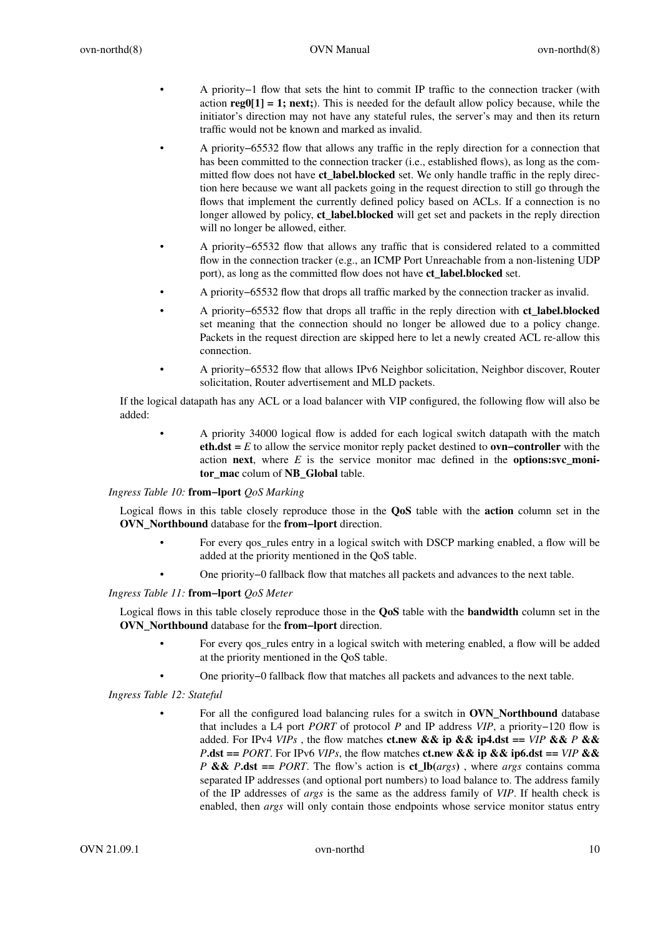- A priority−1 flow that sets the hint to commit IP traffic to the connection tracker (with action **reg0[1] = 1; next;**). This is needed for the default allow policy because, while the initiator's direction may not have any stateful rules, the server's may and then its return traffic would not be known and marked as invalid.
- A priority−65532 flow that allows any traffic in the reply direction for a connection that has been committed to the connection tracker (i.e., established flows), as long as the committed flow does not have **ct** label.blocked set. We only handle traffic in the reply direction here because we want all packets going in the request direction to still go through the flows that implement the currently defined policy based on ACLs. If a connection is no longer allowed by policy, **ct** label.blocked will get set and packets in the reply direction will no longer be allowed, either.
- A priority−65532 flow that allows any traffic that is considered related to a committed flow in the connection tracker (e.g., an ICMP Port Unreachable from a non-listening UDP port), as long as the committed flow does not have **ct\_label.blocked** set.
- A priority−65532 flow that drops all traffic marked by the connection tracker as invalid.
- A priority−65532 flow that drops all traffic in the reply direction with **ct\_label.blocked** set meaning that the connection should no longer be allowed due to a policy change. Packets in the request direction are skipped here to let a newly created ACL re-allow this connection.
- A priority−65532 flow that allows IPv6 Neighbor solicitation, Neighbor discover, Router solicitation, Router advertisement and MLD packets.

If the logical datapath has any ACL or a load balancer with VIP configured, the following flow will also be added:

• A priority 34000 logical flow is added for each logical switch datapath with the match **eth.dst =** *E* to allow the service monitor reply packet destined to **ovn−controller** with the action **next**, where *E* is the service monitor mac defined in the **options:svc\_monitor\_mac** colum of **NB\_Global** table.

### *Ingress Table 10:* **from−lport** *QoS Marking*

Logical flows in this table closely reproduce those in the **QoS** table with the **action** column set in the **OVN\_Northbound** database for the **from−lport** direction.

- For every qos\_rules entry in a logical switch with DSCP marking enabled, a flow will be added at the priority mentioned in the QoS table.
- One priority−0 fallback flow that matches all packets and advances to the next table.

### *Ingress Table 11:* **from−lport** *QoS Meter*

Logical flows in this table closely reproduce those in the **QoS** table with the **bandwidth** column set in the **OVN\_Northbound** database for the **from−lport** direction.

- For every qos\_rules entry in a logical switch with metering enabled, a flow will be added at the priority mentioned in the QoS table.
- One priority−0 fallback flow that matches all packets and advances to the next table.

### *Ingress Table 12: Stateful*

• For all the configured load balancing rules for a switch in **OVN\_Northbound** database that includes a L4 port *PORT* of protocol *P* and IP address *VIP*,apriority−120 flow is added. For IPv4 *VIPs*, the flow matches **ct.new && ip && ip4.dst** == *VIP* && *P* && *P***.dst** == *PORT*. For IPv6 *VIPs*, the flow matches **ct.new && ip && ip6.dst** == *VIP* && *P* **&&** *P***.dst ==** *PORT*. The flow's action is **ct\_lb(***args***)** , where *args* contains comma separated IP addresses (and optional port numbers) to load balance to. The address family of the IP addresses of *args* is the same as the address family of *VIP*. If health check is enabled, then *args* will only contain those endpoints whose service monitor status entry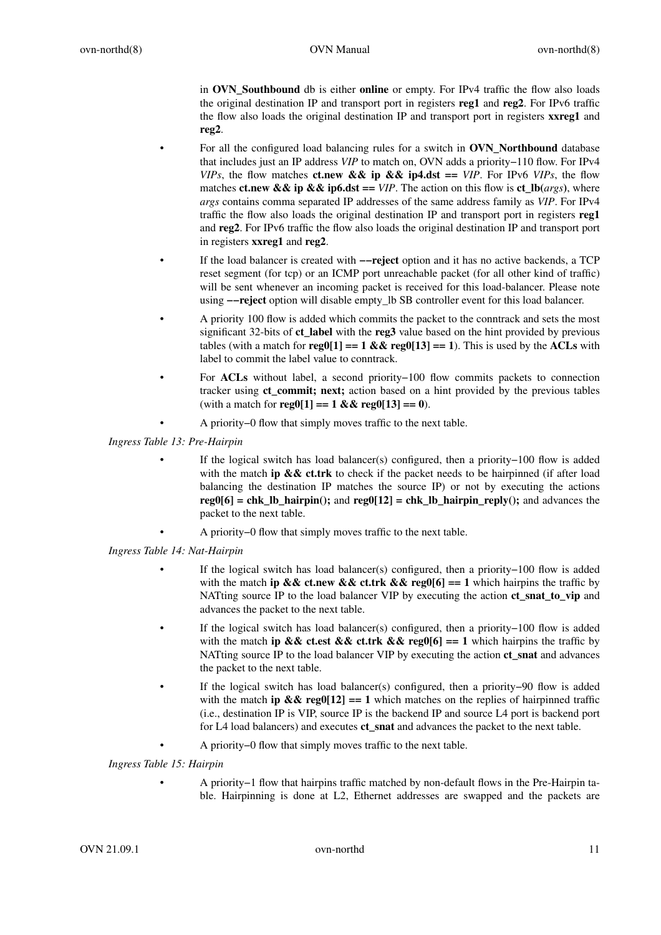in **OVN\_Southbound** db is either **online** or empty. For IPv4 traffic the flow also loads the original destination IP and transport port in registers **reg1** and **reg2**. For IPv6 traffic the flow also loads the original destination IP and transport port in registers **xxreg1** and **reg2**.

- For all the configured load balancing rules for a switch in **OVN\_Northbound** database that includes just an IP address *VIP* to match on, OVN adds a priority−110 flow. For IPv4 *VIPs*, the flow matches **ct.new && ip && ip4.dst** == *VIP*. For IPv6 *VIPs*, the flow matches **ct.new && ip && ip6.dst** ==  $VIP$ . The action on this flow is **ct\_lb**(*args*), where *args* contains comma separated IP addresses of the same address family as *VIP*. For IPv4 traffic the flow also loads the original destination IP and transport port in registers **reg1** and **reg2**. For IPv6 traffic the flow also loads the original destination IP and transport port in registers **xxreg1** and **reg2**.
- If the load balancer is created with **−−reject** option and it has no active backends, a TCP reset segment (for tcp) or an ICMP port unreachable packet (for all other kind of traffic) will be sent whenever an incoming packet is received for this load-balancer. Please note using **−−reject** option will disable empty\_lb SB controller event for this load balancer.
- A priority 100 flow is added which commits the packet to the conntrack and sets the most significant 32-bits of **ct\_label** with the **reg3** value based on the hint provided by previous tables (with a match for  $\text{reg}(1] == 1 \& \& \text{reg}(13] == 1)$ . This is used by the **ACLs** with label to commit the label value to conntrack.
- For **ACLs** without label, a second priority−100 flow commits packets to connection tracker using **ct\_commit; next;** action based on a hint provided by the previous tables (with a match for **reg0[1] == 1 && reg0[13] == 0**).
- A priority−0 flow that simply moves traffic to the next table.

*Ingress Table 13: Pre-Hairpin*

- If the logical switch has load balancer(s) configured, then a priority−100 flow is added with the match **ip && ct.trk** to check if the packet needs to be hairpinned (if after load balancing the destination IP matches the source IP) or not by executing the actions **reg0[6] = chk\_lb\_hairpin();** and  $\text{reg0}[12] = \text{chk\_lb\_hairpin\_reply}$  and advances the packet to the next table.
	- A priority−0 flow that simply moves traffic to the next table.

*Ingress Table 14: Nat-Hairpin*

- If the logical switch has load balancer(s) configured, then a priority−100 flow is added with the match **ip && ct.new && ct.trk && reg0[6]** =  $= 1$  which hairpins the traffic by NATting source IP to the load balancer VIP by executing the action **ct\_snat\_to\_vip** and advances the packet to the next table.
- If the logical switch has load balancer(s) configured, then a priority−100 flow is added with the match **ip && ct.est && ct.trk && reg0[6]** == 1 which hairpins the traffic by NATting source IP to the load balancer VIP by executing the action **ct\_snat** and advances the packet to the next table.
- If the logical switch has load balancer(s) configured, then a priority−90 flow is added with the match **ip && reg0**[12] == 1 which matches on the replies of hairpinned traffic (i.e., destination IP is VIP, source IP is the backend IP and source L4 port is backend port for L4 load balancers) and executes **ct\_snat** and advances the packet to the next table.
	- A priority−0 flow that simply moves traffic to the next table.

*Ingress Table 15: Hairpin*

• A priority−1 flow that hairpins traffic matched by non-default flows in the Pre-Hairpin table. Hairpinning is done at L2, Ethernet addresses are swapped and the packets are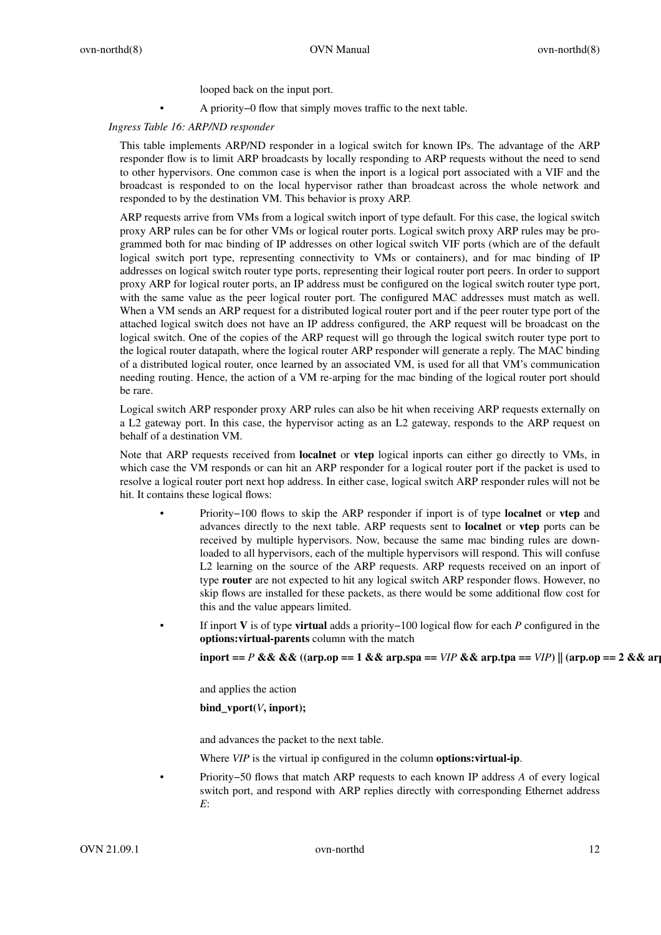looped back on the input port.

• A priority−0 flow that simply moves traffic to the next table.

## *Ingress Table 16: ARP/ND responder*

This table implements ARP/ND responder in a logical switch for known IPs. The advantage of the ARP responder flow is to limit ARP broadcasts by locally responding to ARP requests without the need to send to other hypervisors. One common case is when the inport is a logical port associated with a VIF and the broadcast is responded to on the local hypervisor rather than broadcast across the whole network and responded to by the destination VM. This behavior is proxy ARP.

ARP requests arrive from VMs from a logical switch inport of type default. For this case, the logical switch proxy ARP rules can be for other VMs or logical router ports. Logical switch proxy ARP rules may be programmed both for mac binding of IP addresses on other logical switch VIF ports (which are of the default logical switch port type, representing connectivity to VMs or containers), and for mac binding of IP addresses on logical switch router type ports, representing their logical router port peers. In order to support proxy ARP for logical router ports, an IP address must be configured on the logical switch router type port, with the same value as the peer logical router port. The configured MAC addresses must match as well. When a VM sends an ARP request for a distributed logical router port and if the peer router type port of the attached logical switch does not have an IP address configured, the ARP request will be broadcast on the logical switch. One of the copies of the ARP request will go through the logical switch router type port to the logical router datapath, where the logical router ARP responder will generate a reply. The MAC binding of a distributed logical router, once learned by an associated VM, is used for all that VM's communication needing routing. Hence, the action of a VM re-arping for the mac binding of the logical router port should be rare.

Logical switch ARP responder proxy ARP rules can also be hit when receiving ARP requests externally on a L2 gateway port. In this case, the hypervisor acting as an L2 gateway, responds to the ARP request on behalf of a destination VM.

Note that ARP requests received from **localnet** or **vtep** logical inports can either go directly to VMs, in which case the VM responds or can hit an ARP responder for a logical router port if the packet is used to resolve a logical router port next hop address. In either case, logical switch ARP responder rules will not be hit. It contains these logical flows:

- Priority−100 flows to skip the ARP responder if inport is of type **localnet** or **vtep** and advances directly to the next table. ARP requests sent to **localnet** or **vtep** ports can be received by multiple hypervisors. Now, because the same mac binding rules are downloaded to all hypervisors, each of the multiple hypervisors will respond. This will confuse L2 learning on the source of the ARP requests. ARP requests received on an inport of type **router** are not expected to hit any logical switch ARP responder flows. However, no skip flows are installed for these packets, as there would be some additional flow cost for this and the value appears limited.
	- If inport **V** is of type **virtual** adds a priority−100 logical flow for each *P* configured in the **options:virtual-parents** column with the match

**inport ==** *P* && && ((arp.op == 1 && arp.spa ==  $VIP$  && arp.tpa ==  $VIP$ ) || (arp.op == 2 && arp.

and applies the action

# **bind\_vport(***V***, inport);**

and advances the packet to the next table.

Where *VIP* is the virtual ip configured in the column **options:virtual-ip**.

• Priority−50 flows that match ARP requests to each known IP address *A* of every logical switch port, and respond with ARP replies directly with corresponding Ethernet address *E*: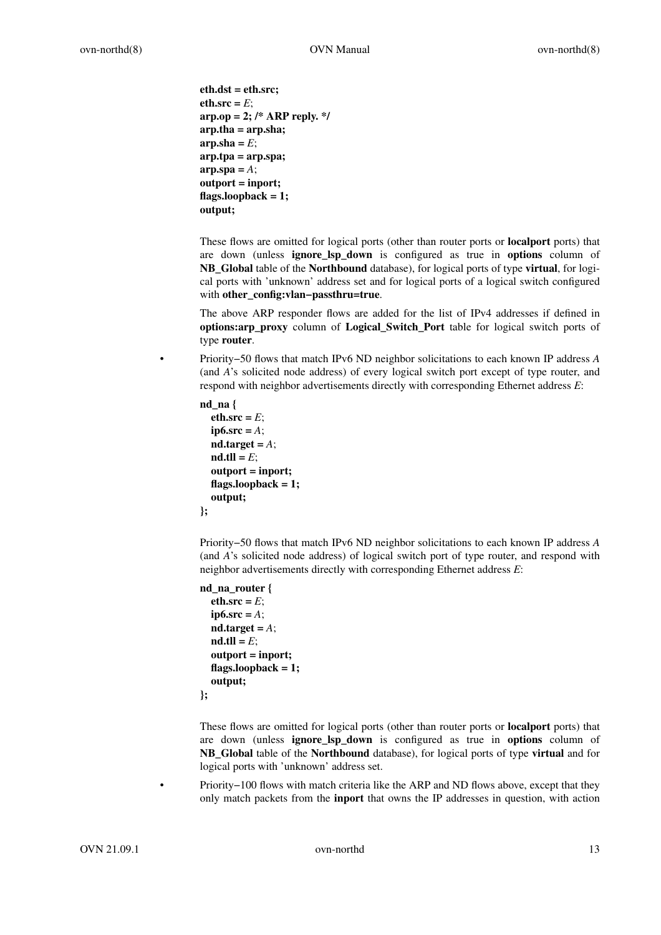```
eth.dst = eth.src;
eth.src = E;
arp.op = 2; /* ARP reply. */
arp.tha = arp.sha;
\mathbf{a} \mathbf{r} \mathbf{p} \cdot \mathbf{a} \mathbf{h} = E;
arp.tpa = arp.spa;
\mathbf{a}rp.spa = A;
outport = inport;
flags.loopback = 1;
output;
```
These flows are omitted for logical ports (other than router ports or **localport** ports) that are down (unless **ignore\_lsp\_down** is configured as true in **options** column of **NB\_Global** table of the **Northbound** database), for logical ports of type **virtual**, for logical ports with 'unknown' address set and for logical ports of a logical switch configured with **other\_config:vlan−passthru=true**.

The above ARP responder flows are added for the list of IPv4 addresses if defined in **options:arp\_proxy** column of **Logical\_Switch\_Port** table for logical switch ports of type **router**.

• Priority−50 flows that match IPv6 ND neighbor solicitations to each known IP address *A* (and *A*'s solicited node address) of every logical switch port except of type router, and respond with neighbor advertisements directly with corresponding Ethernet address *E*:

```
nd_na {
  eth.src = E;
  ip6.src = A;
  nd.target = A;
  nd.tll = E;outport = inport;
  flags.loopback = 1;
  output;
};
```
Priority−50 flows that match IPv6 ND neighbor solicitations to each known IP address *A* (and *A*'s solicited node address) of logical switch port of type router, and respond with neighbor advertisements directly with corresponding Ethernet address *E*:

```
nd_na_router {
  eth.src = E;
  ip6.src = A;
  nd.target = A;
  nd.tll = E;outport = inport;
  flags.loopback = 1;
  output;
};
```
These flows are omitted for logical ports (other than router ports or **localport** ports) that are down (unless **ignore\_lsp\_down** is configured as true in **options** column of **NB\_Global** table of the **Northbound** database), for logical ports of type **virtual** and for logical ports with 'unknown' address set.

• Priority−100 flows with match criteria like the ARP and ND flows above, except that they only match packets from the **inport** that owns the IP addresses in question, with action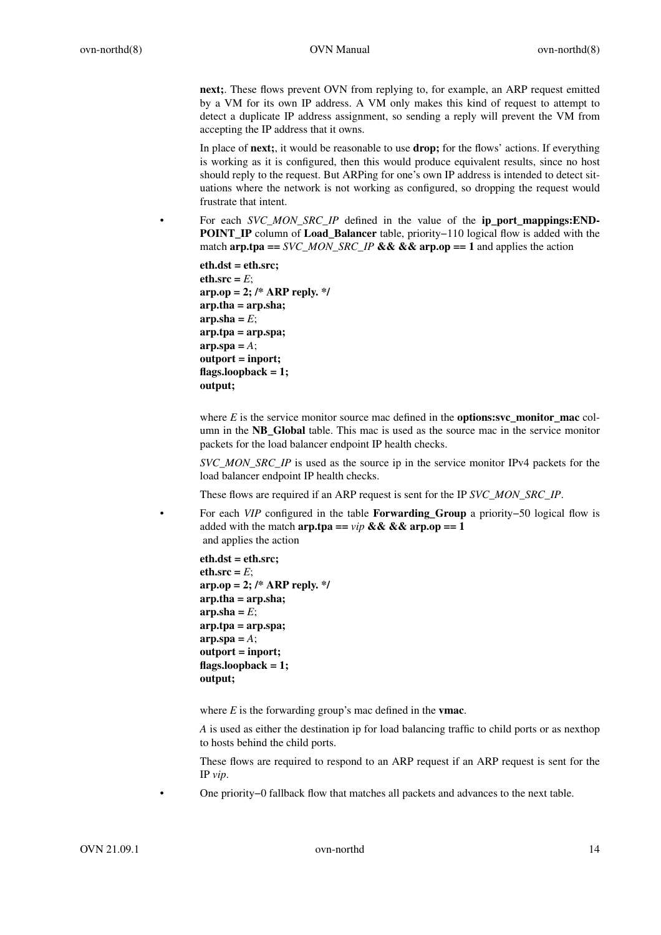**next;**. These flows prevent OVN from replying to, for example, an ARP request emitted by a VM for its own IP address. A VM only makes this kind of request to attempt to detect a duplicate IP address assignment, so sending a reply will prevent the VM from accepting the IP address that it owns.

In place of **next;**, it would be reasonable to use **drop;** for the flows' actions. If everything is working as it is configured, then this would produce equivalent results, since no host should reply to the request. But ARPing for one's own IP address is intended to detect situations where the network is not working as configured, so dropping the request would frustrate that intent.

• For each *SVC\_MON\_SRC\_IP* defined in the value of the **ip\_port\_mappings:END-POINT\_IP** column of **Load\_Balancer** table, priority−110 logical flow is added with the match **arp.tpa ==** *SVC\_MON\_SRC\_IP* **&& && arp.op == 1** and applies the action

**eth.dst = eth.src;**  $eth.src = E$ ; **arp.op = 2; /\* ARP reply. \*/ arp.tha = arp.sha;**  $\mathbf{a} \mathbf{r} \mathbf{p} \cdot \mathbf{a} \mathbf{h} = E$ ; **arp.tpa = arp.spa;**  $\mathbf{a}$ rp.spa =  $A$ ; **outport = inport; flags.loopback = 1; output;**

where *E* is the service monitor source mac defined in the **options:svc\_monitor\_mac** column in the **NB\_Global** table. This mac is used as the source mac in the service monitor packets for the load balancer endpoint IP health checks.

*SVC\_MON\_SRC\_IP* is used as the source ip in the service monitor IPv4 packets for the load balancer endpoint IP health checks.

These flows are required if an ARP request is sent for the IP *SVC\_MON\_SRC\_IP*.

• For each *VIP* configured in the table **Forwarding\_Group** a priority−50 logical flow is added with the match  $\text{arp.tpa} == \text{vir} \&\&\&\text{arp.op} == 1$ and applies the action

```
eth.dst = eth.src;
eth.src = E;
arp.op = 2; /* ARP reply. */
arp.tha = arp.sha;
\mathbf{a} \mathbf{r} \mathbf{p} \cdot \mathbf{a} \mathbf{h} = E;
arp.tpa = arp.spa;
\mathbf{a} \mathbf{r} \mathbf{p} \cdot \mathbf{a} \mathbf{p} = A;
outport = inport;
flags.loopback = 1;
output;
```
where *E* is the forwarding group's mac defined in the **vmac**.

*A* is used as either the destination ip for load balancing traffic to child ports or as nexthop to hosts behind the child ports.

These flows are required to respond to an ARP request if an ARP request is sent for the IP *vip*.

• One priority−0 fallback flow that matches all packets and advances to the next table.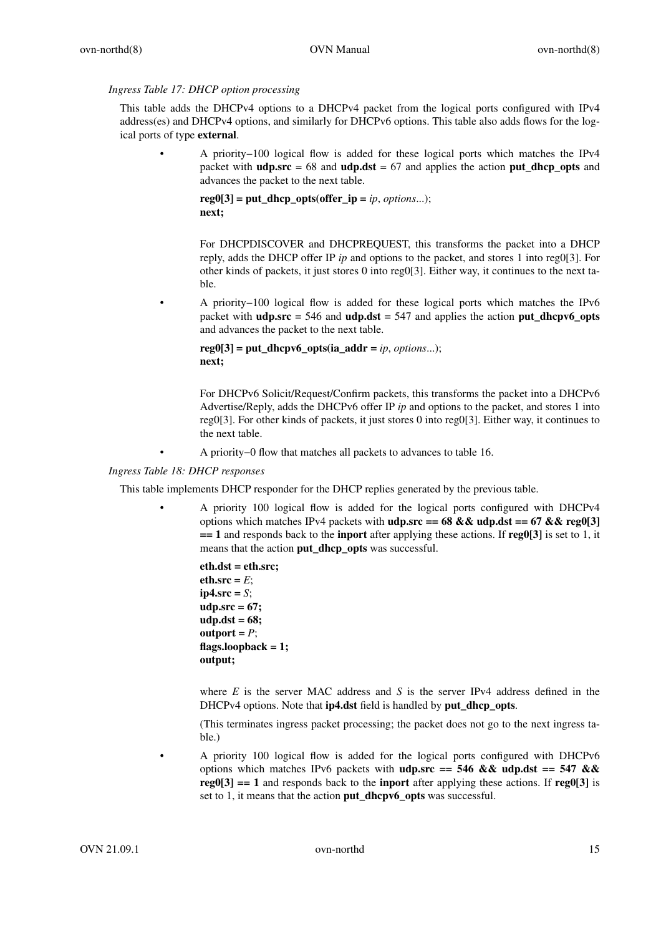*Ingress Table 17: DHCP option processing*

This table adds the DHCPv4 options to a DHCPv4 packet from the logical ports configured with IPv4 address(es) and DHCPv4 options, and similarly for DHCPv6 options. This table also adds flows for the logical ports of type **external**.

• A priority−100 logical flow is added for these logical ports which matches the IPv4 packet with **udp.src** = 68 and **udp.dst** = 67 and applies the action **put\_dhcp\_opts** and advances the packet to the next table.

```
r e g 0[3] = put \text{ dhep } opts(offer \text{ if } p = ip, options...);next;
```
For DHCPDISCOVER and DHCPREQUEST, this transforms the packet into a DHCP reply, adds the DHCP offer IP *ip* and options to the packet, and stores 1 into reg0[3]. For other kinds of packets, it just stores 0 into reg0[3]. Either way, it continues to the next table.

• A priority−100 logical flow is added for these logical ports which matches the IPv6 packet with **udp.src** = 546 and **udp.dst** = 547 and applies the action **put\_dhcpv6\_opts** and advances the packet to the next table.

 $r e g 0[3] = \text{put}$  dhcpv6 opts(ia addr = *ip*, *options...*); **next;**

For DHCPv6 Solicit/Request/Confirm packets, this transforms the packet into a DHCPv6 Advertise/Reply, adds the DHCPv6 offer IP *ip* and options to the packet, and stores 1 into reg0[3]. For other kinds of packets, it just stores 0 into reg0[3]. Either way, it continues to the next table.

• A priority−0 flow that matches all packets to advances to table 16.

## *Ingress Table 18: DHCP responses*

This table implements DHCP responder for the DHCP replies generated by the previous table.

• A priority 100 logical flow is added for the logical ports configured with DHCPv4 options which matches IPv4 packets with **udp.src == 68 && udp.dst == 67 && reg0[3] == 1** and responds back to the **inport** after applying these actions. If **reg0[3]** is set to 1, it means that the action **put\_dhcp\_opts** was successful.

```
eth.dst = eth.src;
eth.src = E;
ip4.src = S;
udp.src=67;
udp.dst = 68;
output = P;
flags.loopback = 1;
output;
```
where *E* is the server MAC address and *S* is the server IPv4 address defined in the DHCPv4 options. Note that **ip4.dst** field is handled by **put\_dhcp\_opts**.

(This terminates ingress packet processing; the packet does not go to the next ingress table.)

• A priority 100 logical flow is added for the logical ports configured with DHCPv6 options which matches IPv6 packets with **udp.src == 546 && udp.dst == 547 && reg0[3] == 1** and responds back to the **inport** after applying these actions. If **reg0[3]** is set to 1, it means that the action **put\_dhcpv6\_opts** was successful.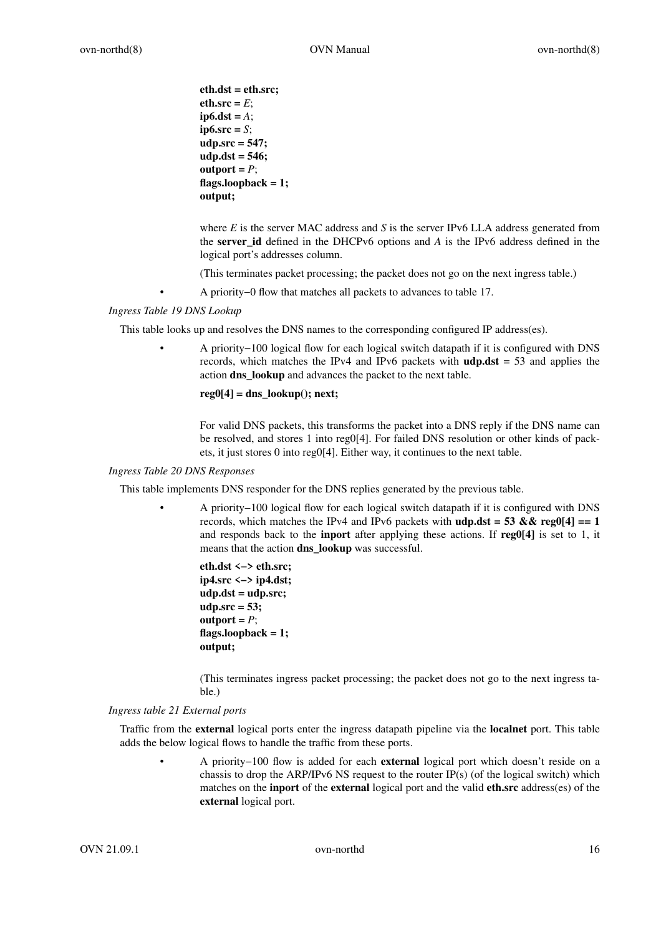```
eth.dst = eth.src;
eth.src = E;
ip6.dst = A;
ip6.src = S;
udp.src=547;
udp.dst = 546;
output = P;
flags.loopback = 1;
output;
```
where *E* is the server MAC address and *S* is the server IPv6 LLA address generated from the **server** id defined in the DHCPv6 options and *A* is the IPv6 address defined in the logical port's addresses column.

(This terminates packet processing; the packet does not go on the next ingress table.)

• A priority−0 flow that matches all packets to advances to table 17.

*Ingress Table 19 DNS Lookup*

This table looks up and resolves the DNS names to the corresponding configured IP address(es).

• A priority−100 logical flow for each logical switch datapath if it is configured with DNS records, which matches the IPv4 and IPv6 packets with **udp.dst** = 53 and applies the action **dns\_lookup** and advances the packet to the next table.

**reg0[4] = dns\_lookup(); next;**

For valid DNS packets, this transforms the packet into a DNS reply if the DNS name can be resolved, and stores 1 into reg0[4]. For failed DNS resolution or other kinds of packets, it just stores 0 into reg0[4]. Either way, it continues to the next table.

### *Ingress Table 20 DNS Responses*

This table implements DNS responder for the DNS replies generated by the previous table.

• A priority−100 logical flow for each logical switch datapath if it is configured with DNS records, which matches the IPv4 and IPv6 packets with  $\text{udp.dat} = 53 \&\& \text{reg0}[4] == 1$ and responds back to the **inport** after applying these actions. If **reg0[4]** is set to 1, it means that the action **dns lookup** was successful.

```
eth.dst <−> eth.src;
ip4.src <−> ip4.dst;
udp.dst = udp.src;
udp.src=53;
output = P;
flags.loopback = 1;
output;
```
(This terminates ingress packet processing; the packet does not go to the next ingress table.)

### *Ingress table 21 External ports*

Traffic from the **external** logical ports enter the ingress datapath pipeline via the **localnet** port. This table adds the below logical flows to handle the traffic from these ports.

• A priority−100 flow is added for each **external** logical port which doesn't reside on a chassis to drop the ARP/IPv6 NS request to the router IP(s) (of the logical switch) which matches on the **inport** of the **external** logical port and the valid **eth.src** address(es) of the **external** logical port.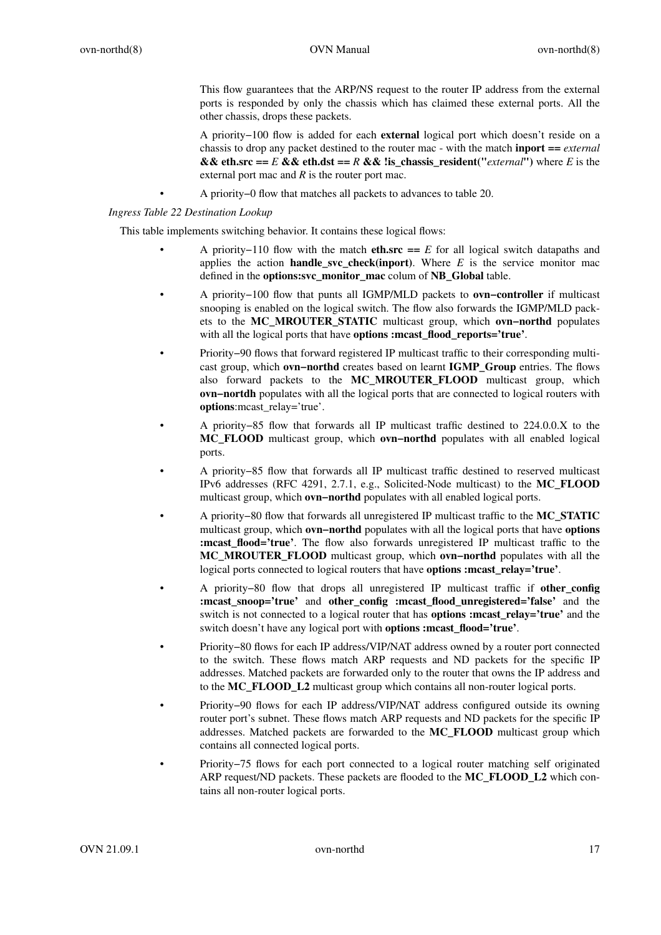This flow guarantees that the ARP/NS request to the router IP address from the external ports is responded by only the chassis which has claimed these external ports. All the other chassis, drops these packets.

A priority−100 flow is added for each **external** logical port which doesn't reside on a chassis to drop any packet destined to the router mac - with the match **inport ==** *external* **&& eth.src ==**  $E$  **&& eth.dst ==**  $R$  **&& !is chassis resident("***external***") where**  $E$  **is the** external port mac and *R* is the router port mac.

• A priority−0 flow that matches all packets to advances to table 20.

*Ingress Table 22 Destination Lookup*

This table implements switching behavior. It contains these logical flows:

- A priority–110 flow with the match **eth.src** ==  $E$  for all logical switch datapaths and applies the action **handle\_svc\_check(inport)**. Where  $E$  is the service monitor mac defined in the **options:svc\_monitor\_mac** colum of **NB\_Global** table.
- A priority−100 flow that punts all IGMP/MLD packets to **ovn−controller** if multicast snooping is enabled on the logical switch. The flow also forwards the IGMP/MLD packets to the **MC\_MROUTER\_STATIC** multicast group, which **ovn−northd** populates with all the logical ports that have **options :mcast\_flood\_reports='true'**.
- Priority−90 flows that forward registered IP multicast traffic to their corresponding multicast group, which **ovn−northd** creates based on learnt **IGMP\_Group** entries. The flows also forward packets to the **MC\_MROUTER\_FLOOD** multicast group, which **ovn−nortdh** populates with all the logical ports that are connected to logical routers with **options**:mcast\_relay='true'.
- A priority−85 flow that forwards all IP multicast traffic destined to 224.0.0.X to the **MC\_FLOOD** multicast group, which **ovn−northd** populates with all enabled logical ports.
- A priority−85 flow that forwards all IP multicast traffic destined to reserved multicast IPv6 addresses (RFC 4291, 2.7.1, e.g., Solicited-Node multicast) to the **MC\_FLOOD** multicast group, which **ovn−northd** populates with all enabled logical ports.
- A priority−80 flow that forwards all unregistered IP multicast traffic to the **MC\_STATIC** multicast group, which **ovn−northd** populates with all the logical ports that have **options :mcast flood='true'**. The flow also forwards unregistered IP multicast traffic to the **MC\_MROUTER\_FLOOD** multicast group, which **ovn−northd** populates with all the logical ports connected to logical routers that have **options :mcast\_relay='true'**.
- A priority−80 flow that drops all unregistered IP multicast traffic if **other\_config :mcast\_snoop='true'** and **other\_config :mcast\_flood\_unregistered='false'** and the switch is not connected to a logical router that has **options :mcast\_relay='true'** and the switch doesn't have any logical port with **options :mcast\_flood='true'**.
- Priority−80 flows for each IP address/VIP/NAT address owned by a router port connected to the switch. These flows match ARP requests and ND packets for the specific IP addresses. Matched packets are forwarded only to the router that owns the IP address and to the **MC\_FLOOD\_L2** multicast group which contains all non-router logical ports.
- Priority−90 flows for each IP address/VIP/NAT address configured outside its owning router port's subnet. These flows match ARP requests and ND packets for the specific IP addresses. Matched packets are forwarded to the **MC\_FLOOD** multicast group which contains all connected logical ports.
- Priority−75 flows for each port connected to a logical router matching self originated ARP request/ND packets. These packets are flooded to the **MC\_FLOOD\_L2** which contains all non-router logical ports.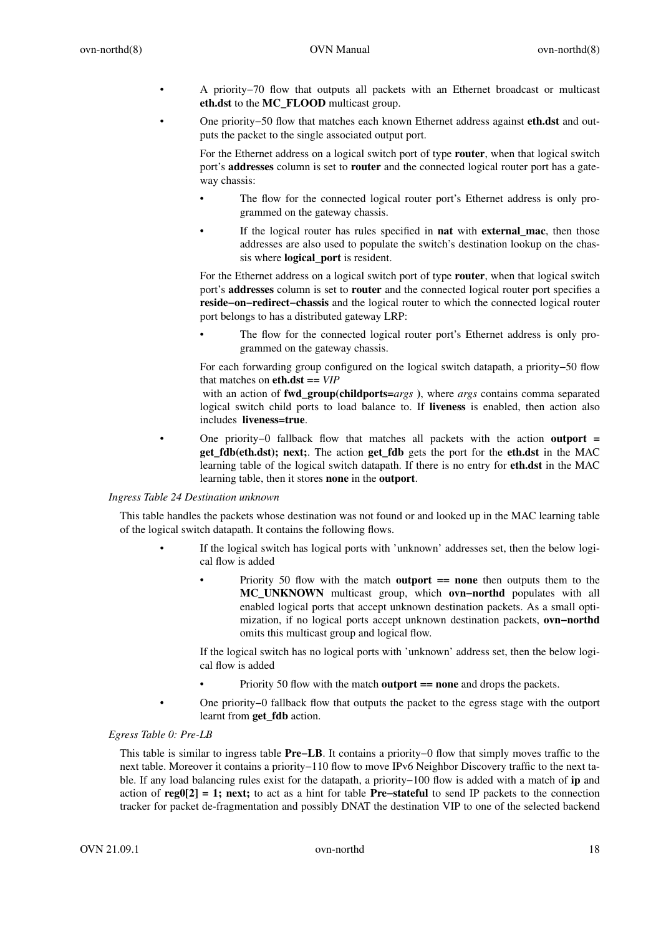- A priority−70 flow that outputs all packets with an Ethernet broadcast or multicast **eth.dst** to the **MC\_FLOOD** multicast group.
- One priority−50 flow that matches each known Ethernet address against **eth.dst** and outputs the packet to the single associated output port.

For the Ethernet address on a logical switch port of type **router**, when that logical switch port's **addresses** column is set to **router** and the connected logical router port has a gateway chassis:

- The flow for the connected logical router port's Ethernet address is only programmed on the gateway chassis.
- If the logical router has rules specified in **nat** with **external\_mac**, then those addresses are also used to populate the switch's destination lookup on the chassis where **logical\_port** is resident.

For the Ethernet address on a logical switch port of type **router**, when that logical switch port's **addresses** column is set to **router** and the connected logical router port specifies a **reside−on−redirect−chassis** and the logical router to which the connected logical router port belongs to has a distributed gateway LRP:

The flow for the connected logical router port's Ethernet address is only programmed on the gateway chassis.

For each forwarding group configured on the logical switch datapath, a priority−50 flow that matches on **eth.dst ==** *VIP*

with an action of **fwd\_group(childports=***args* **)**, where *args* contains comma separated logical switch child ports to load balance to. If **liveness** is enabled, then action also includes **liveness=true**.

• One priority−0 fallback flow that matches all packets with the action **outport = get\_fdb(eth.dst); next;**. The action **get\_fdb** gets the port for the **eth.dst** in the MAC learning table of the logical switch datapath. If there is no entry for **eth.dst** in the MAC learning table, then it stores **none** in the **outport**.

## *Ingress Table 24 Destination unknown*

This table handles the packets whose destination was not found or and looked up in the MAC learning table of the logical switch datapath. It contains the following flows.

- If the logical switch has logical ports with 'unknown' addresses set, then the below logical flow is added
	- Priority 50 flow with the match **outport == none** then outputs them to the **MC\_UNKNOWN** multicast group, which **ovn−northd** populates with all enabled logical ports that accept unknown destination packets. As a small optimization, if no logical ports accept unknown destination packets, **ovn−northd** omits this multicast group and logical flow.

If the logical switch has no logical ports with 'unknown' address set, then the below logical flow is added

- Priority 50 flow with the match **outport == none** and drops the packets.
- One priority−0 fallback flow that outputs the packet to the egress stage with the outport learnt from **get\_fdb** action.

# *Egress Table 0: Pre-LB*

This table is similar to ingress table **Pre−LB**. It contains a priority−0 flow that simply moves traffic to the next table. Moreover it contains a priority−110 flow to move IPv6 Neighbor Discovery traffic to the next table. If any load balancing rules exist for the datapath, a priority−100 flow is added with a match of **ip** and action of **reg0[2] = 1; next;** to act as a hint for table **Pre−stateful** to send IP packets to the connection tracker for packet de-fragmentation and possibly DNAT the destination VIP to one of the selected backend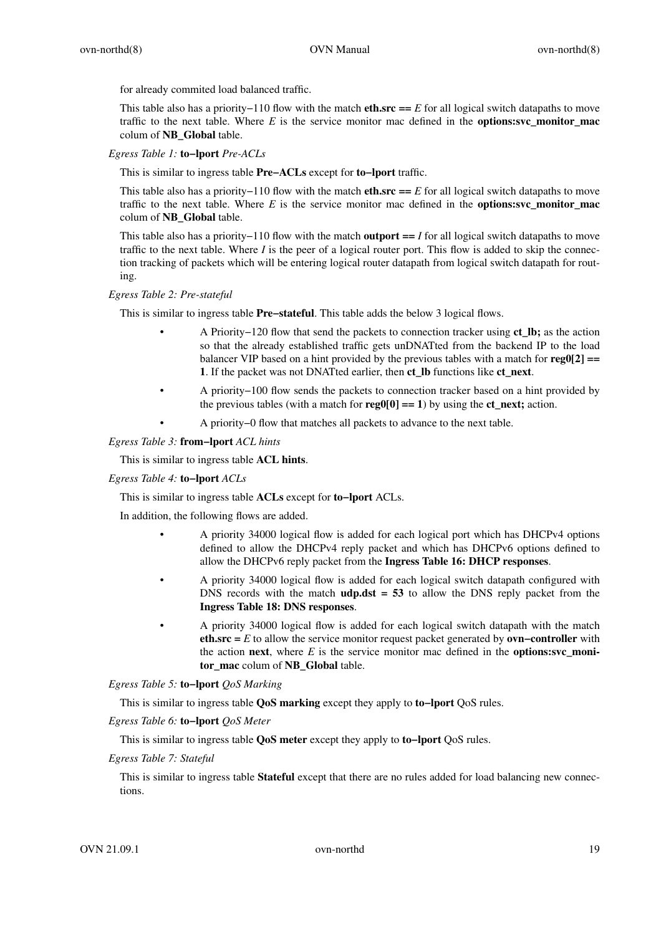for already commited load balanced traffic.

This table also has a priority−110 flow with the match **eth.src** == *E* for all logical switch datapaths to move traffic to the next table. Where  $E$  is the service monitor mac defined in the **options:svc** monitor mac colum of **NB\_Global** table.

*Egress Table 1:* **to−lport** *Pre-ACLs*

This is similar to ingress table **Pre−ACLs** except for **to−lport** traffic.

This table also has a priority−110 flow with the match **eth.src ==** *E* for all logical switch datapaths to move traffic to the next table. Where *E* is the service monitor mac defined in the **options:svc\_monitor\_mac** colum of **NB\_Global** table.

This table also has a priority−110 flow with the match **outport ==** *I* for all logical switch datapaths to move traffic to the next table. Where *I* is the peer of a logical router port. This flow is added to skip the connection tracking of packets which will be entering logical router datapath from logical switch datapath for routing.

### *Egress Table 2: Pre-stateful*

This is similar to ingress table **Pre–stateful**. This table adds the below 3 logical flows.

- A Priority−120 flow that send the packets to connection tracker using **ct\_lb;** as the action so that the already established traffic gets unDNATted from the backend IP to the load balancer VIP based on a hint provided by the previous tables with a match for **reg0[2] == 1**. If the packet was not DNATted earlier, then **ct\_lb** functions like **ct\_next**.
- A priority−100 flow sends the packets to connection tracker based on a hint provided by the previous tables (with a match for  $\mathbf{reg0[0]} == 1$ ) by using the  $\mathbf{ct\_next}$ ; action.
- A priority−0 flow that matches all packets to advance to the next table.

#### *Egress Table 3:* **from−lport** *ACL hints*

This is similar to ingress table **ACL hints**.

#### *Egress Table 4:* **to−lport** *ACLs*

This is similar to ingress table **ACLs** except for **to−lport** ACLs.

In addition, the following flows are added.

- A priority 34000 logical flow is added for each logical port which has DHCPv4 options defined to allow the DHCPv4 reply packet and which has DHCPv6 options defined to allow the DHCPv6 reply packet from the **Ingress Table 16: DHCP responses**.
- A priority 34000 logical flow is added for each logical switch datapath configured with DNS records with the match  $\text{udp.} \text{dst} = 53$  to allow the DNS reply packet from the **Ingress Table 18: DNS responses**.
- A priority 34000 logical flow is added for each logical switch datapath with the match **eth.src =** *E* to allow the service monitor request packet generated by **ovn−controller** with the action **next**, where  $E$  is the service monitor mac defined in the **options:svc** moni**tor\_mac** colum of **NB\_Global** table.

*Egress Table 5:* **to−lport** *QoS Marking*

This is similar to ingress table **QoS marking** except they apply to **to−lport** QoS rules.

*Egress Table 6:* **to−lport** *QoS Meter*

This is similar to ingress table **QoS meter** except they apply to **to−lport** QoS rules.

*Egress Table 7: Stateful*

This is similar to ingress table **Stateful** except that there are no rules added for load balancing new connections.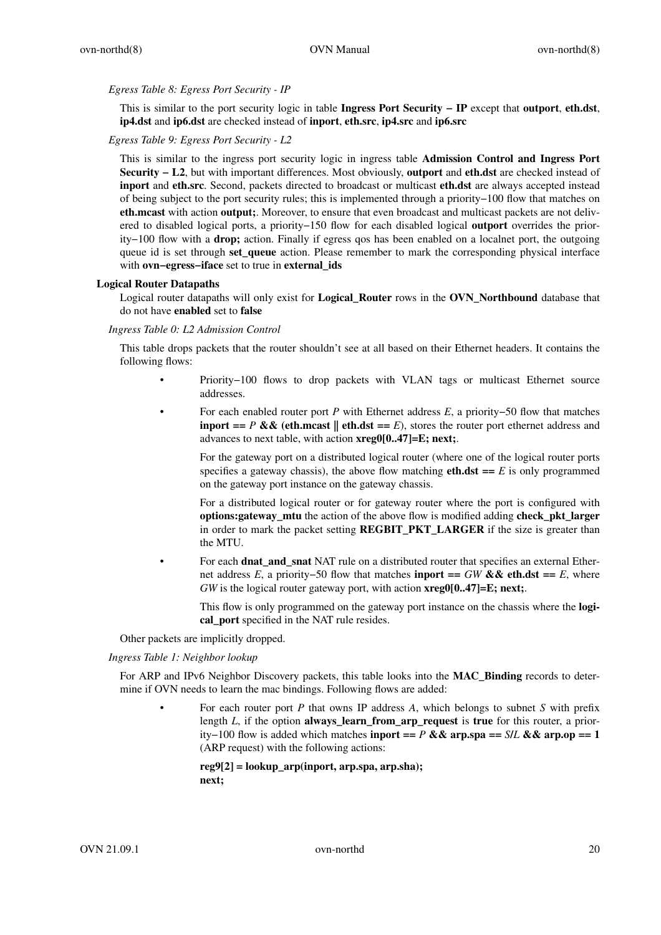### *Egress Table 8: Egress Port Security - IP*

This is similar to the port security logic in table **Ingress Port Security − IP** except that **outport**, **eth.dst**, **ip4.dst** and **ip6.dst** are checked instead of **inport**, **eth.src**, **ip4.src** and **ip6.src**

# *Egress Table 9: Egress Port Security - L2*

This is similar to the ingress port security logic in ingress table **Admission Control and Ingress Port Security − L2**, but with important differences. Most obviously, **outport** and **eth.dst** are checked instead of **inport** and **eth.src**. Second, packets directed to broadcast or multicast **eth.dst** are always accepted instead of being subject to the port security rules; this is implemented through a priority−100 flow that matches on **eth.mcast** with action **output;**. Moreover, to ensure that even broadcast and multicast packets are not delivered to disabled logical ports, a priority−150 flow for each disabled logical **outport** overrides the priority−100 flow with a **drop;** action. Finally if egress qos has been enabled on a localnet port, the outgoing queue id is set through **set queue** action. Please remember to mark the corresponding physical interface with **ovn−egress−iface** set to true in **external\_ids**

## **Logical Router Datapaths**

Logical router datapaths will only exist for **Logical\_Router** rows in the **OVN\_Northbound** database that do not have **enabled** set to **false**

### *Ingress Table 0: L2 Admission Control*

This table drops packets that the router shouldn't see at all based on their Ethernet headers. It contains the following flows:

- Priority−100 flows to drop packets with VLAN tags or multicast Ethernet source addresses.
- For each enabled router port *P* with Ethernet address *E*,apriority−50 flow that matches **inport ==** *P* && (eth.mcast || eth.dst == *E*), stores the router port ethernet address and advances to next table, with action **xreg0[0..47]=E; next;**.

For the gateway port on a distributed logical router (where one of the logical router ports specifies a gateway chassis), the above flow matching **eth.dst** ==  $E$  is only programmed on the gateway port instance on the gateway chassis.

For a distributed logical router or for gateway router where the port is configured with **options:gateway\_mtu** the action of the above flow is modified adding **check\_pkt\_larger** in order to mark the packet setting **REGBIT\_PKT\_LARGER** if the size is greater than the MTU.

• For each **dnat\_and\_snat** NAT rule on a distributed router that specifies an external Ethernet address *E*, a priority–50 flow that matches **inport ==** *GW* **&& eth.dst ==** *E*, where *GW* is the logical router gateway port, with action **xreg0[0..47]=E; next;**.

This flow is only programmed on the gateway port instance on the chassis where the **logical\_port** specified in the NAT rule resides.

Other packets are implicitly dropped.

### *Ingress Table 1: Neighbor lookup*

For ARP and IPv6 Neighbor Discovery packets, this table looks into the **MAC\_Binding** records to determine if OVN needs to learn the mac bindings. Following flows are added:

• For each router port *P* that owns IP address *A*, which belongs to subnet *S* with prefix length *L*, if the option **always\_learn\_from\_arp\_request** is **true** for this router, a priority−100 flow is added which matches **inport ==** *P* **&& arp.spa ==** *S***/***L* **&& arp.op == 1** (ARP request) with the following actions:

**reg9[2] = lookup\_arp(inport, arp.spa, arp.sha); next;**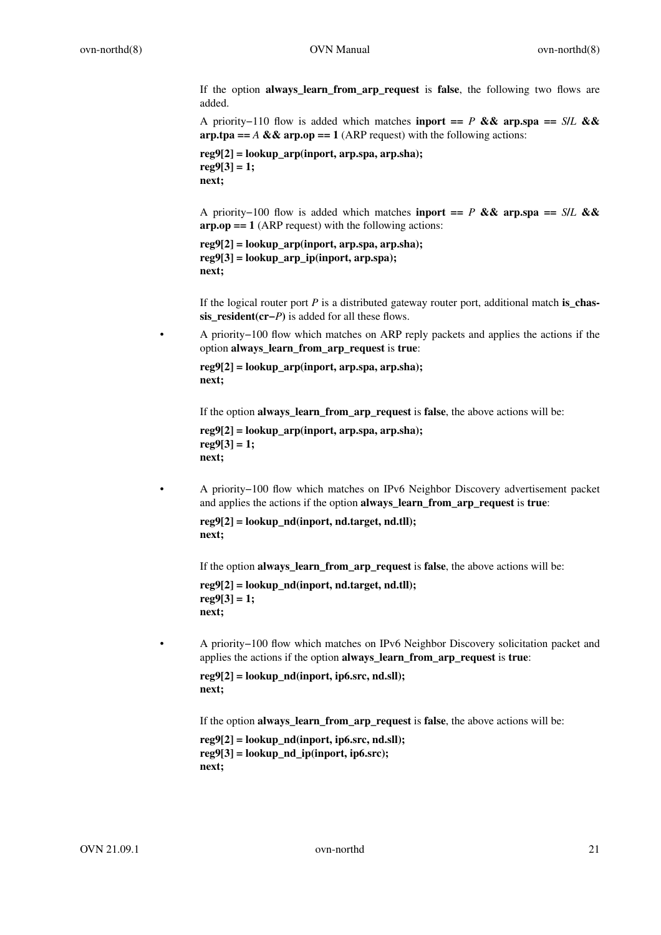If the option **always\_learn\_from\_arp\_request** is **false**, the following two flows are added.

A priority−110 flow is added which matches **inport ==** *P* **&& arp.spa ==** *S***/***L* **&& arp.tpa ==**  $A \& \& \text{arp.op} == 1$  **(ARP request) with the following actions:** 

**reg9[2] = lookup\_arp(inport, arp.spa, arp.sha); reg9[3] = 1; next;**

A priority−100 flow is added which matches **inport ==** *P* **&& arp.spa ==** *S***/***L* **&& arp.op == 1** (ARP request) with the following actions:

```
reg9[2] = lookup_arp(inport, arp.spa, arp.sha);
reg9[3] = lookup_arp_ip(inport, arp.spa);
next;
```
If the logical router port *P* is a distributed gateway router port, additional match **is\_chassis\_resident(cr−***P***)** is added for all these flows.

• A priority−100 flow which matches on ARP reply packets and applies the actions if the option **always\_learn\_from\_arp\_request** is **true**:

```
reg9[2] = lookup_arp(inport, arp.spa, arp.sha);
next;
```
If the option **always** learn from arp request is false, the above actions will be:

```
reg9[2] = lookup_arp(inport, arp.spa, arp.sha);
reg9[3] = 1;
next;
```
• A priority−100 flow which matches on IPv6 Neighbor Discovery advertisement packet and applies the actions if the option **always\_learn\_from\_arp\_request** is **true**:

```
reg9[2] = lookup_nd(inport, nd.target, nd.tll);
next;
```
If the option **always\_learn\_from\_arp\_request** is **false**, the above actions will be:

```
reg9[2] = lookup_nd(inport, nd.target, nd.tll);
reg9[3] = 1;
next;
```
• A priority−100 flow which matches on IPv6 Neighbor Discovery solicitation packet and applies the actions if the option **always\_learn\_from\_arp\_request** is **true**:

```
reg9[2] = lookup_nd(inport, ip6.src, nd.sll);
next;
```
If the option **always\_learn\_from\_arp\_request** is **false**, the above actions will be:

```
reg9[2] = lookup_nd(inport, ip6.src, nd.sll);
reg9[3] = lookup_nd_ip(inport, ip6.src);
next;
```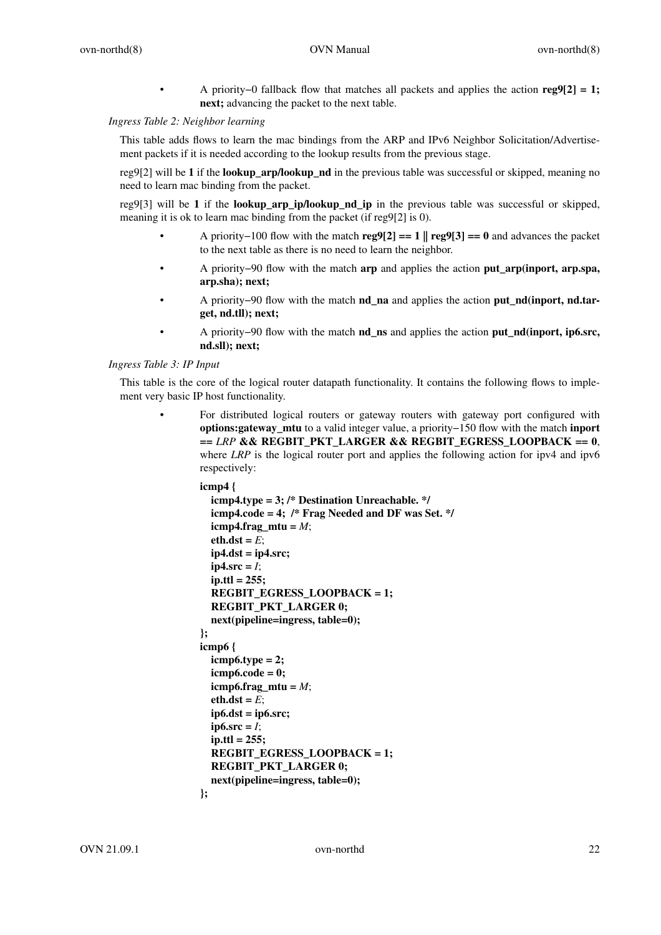• A priority−0 fallback flow that matches all packets and applies the action **reg9[2] = 1; next;** advancing the packet to the next table.

### *Ingress Table 2: Neighbor learning*

This table adds flows to learn the mac bindings from the ARP and IPv6 Neighbor Solicitation/Advertisement packets if it is needed according to the lookup results from the previous stage.

reg9[2] will be **1** if the **lookup\_arp/lookup\_nd** in the previous table was successful or skipped, meaning no need to learn mac binding from the packet.

reg9[3] will be **1** if the **lookup\_arp\_ip/lookup\_nd\_ip** in the previous table was successful or skipped, meaning it is ok to learn mac binding from the packet (if reg9[2] is 0).

- A priority−100 flow with the match **reg9[2] == 1 || reg9[3] == 0** and advances the packet to the next table as there is no need to learn the neighbor.
- A priority−90 flow with the match **arp** and applies the action **put\_arp(inport, arp.spa, arp.sha); next;**
- A priority−90 flow with the match **nd\_na** and applies the action **put\_nd(inport, nd.target, nd.tll); next;**
- A priority−90 flow with the match **nd\_ns** and applies the action **put\_nd(inport, ip6.src, nd.sll); next;**

#### *Ingress Table 3: IP Input*

This table is the core of the logical router datapath functionality. It contains the following flows to implement very basic IP host functionality.

> • For distributed logical routers or gateway routers with gateway port configured with **options:gateway\_mtu** to a valid integer value, a priority−150 flow with the match **inport ==** *LRP* **&& REGBIT\_PKT\_LARGER && REGBIT\_EGRESS\_LOOPBACK == 0**, where *LRP* is the logical router port and applies the following action for ipv4 and ipv6 respectively:

```
icmp4 {
  icmp4.type = 3; /* Destination Unreachable. */
  icmp4.code = 4; /* Frag Needed and DF was Set. */
  icmp4.frag_mtu = M;
  eth.dst = E;ip4.dst = ip4.src;
  ip4.src = <i>I</i>;ip.ttl = 255;
  REGBIT_EGRESS_LOOPBACK=1;
  REGBIT_PKT_LARGER 0;
  next(pipeline=ingress, table=0);
};
icmp6 {
  icmp6.type = 2;
  icmp6.code = 0;
  icmp6.frag_mtu = M;
  eth.dst = E;
  ip6.dst = ip6.src;
  ip6.src = <i>I</i>;ip.ttl = 255;
  REGBIT_EGRESS_LOOPBACK=1;
  REGBIT_PKT_LARGER 0;
  next(pipeline=ingress, table=0);
};
```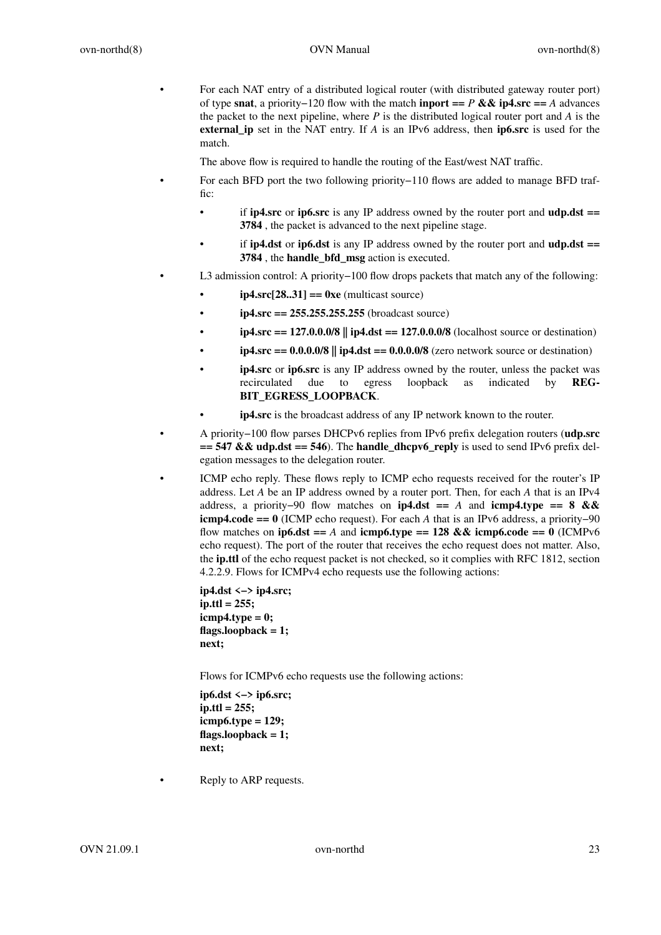• For each NAT entry of a distributed logical router (with distributed gateway router port) of type **snat**,apriority−120 flow with the match **inport ==** *P* **&& ip4.src ==** *A* advances the packet to the next pipeline, where *P* is the distributed logical router port and *A* is the **external\_ip** set in the NAT entry. If *A* is an IPv6 address, then **ip6.src** is used for the match.

The above flow is required to handle the routing of the East/west NAT traffic.

- For each BFD port the two following priority−110 flows are added to manage BFD traffic:
	- if **ip4.src** or **ip6.src** is any IP address owned by the router port and **udp.dst == 3784** , the packet is advanced to the next pipeline stage.
	- if **ip4.dst** or **ip6.dst** is any IP address owned by the router port and **udp.dst == 3784** , the **handle\_bfd\_msg** action is executed.
	- L3 admission control: A priority−100 flow drops packets that match any of the following:
		- **ip4.src[28..31] == 0xe** (multicast source)
		- **ip4.src == 255.255.255.255** (broadcast source)
		- **ip4.src == 127.0.0.0/8 || ip4.dst == 127.0.0.0/8** (localhost source or destination)
		- $ip4.src = 0.0.0.0/8$  ||  $ip4.$ dst =  $0.0.0.0/8$  (zero network source or destination)
		- **ip4.src** or **ip6.src** is any IP address owned by the router, unless the packet was recirculated due to egress loopback as indicated by **REG-BIT\_EGRESS\_LOOPBACK**.
		- **ip4.src** is the broadcast address of any IP network known to the router.
- A priority−100 flow parses DHCPv6 replies from IPv6 prefix delegation routers (**udp.src**  $== 547 & \& udp. \text{dst} == 546$ . The **handle\_dhcpv6\_reply** is used to send IPv6 prefix deleg ation messages to the delegation router.
- ICMP echo reply. These flows reply to ICMP echo requests received for the router's IP address. Let *A* be an IP address owned by a router port. Then, for each *A* that is an IPv4 address, a priority−90 flow matches on **ip4.dst ==** *A* and **icmp4.type == 8 && icmp4.code == 0** (ICMP echo request). For each *A* that is an IPv6 address, a priority−90 flow matches on **ip6.dst** == *A* and **icmp6.type** == 128 && **icmp6.code** == 0 (ICMPv6 echo request). The port of the router that receives the echo request does not matter. Also, the **ip.ttl** of the echo request packet is not checked, so it complies with RFC 1812, section 4.2.2.9. Flows for ICMPv4 echo requests use the following actions:

**ip4.dst <−> ip4.src; ip.ttl = 255; icmp4.type = 0; flags.loopback = 1; next;**

Flows for ICMPv6 echo requests use the following actions:

**ip6.dst <−> ip6.src; ip.ttl = 255; icmp6.type = 129; flags.loopback = 1; next;**

Reply to ARP requests.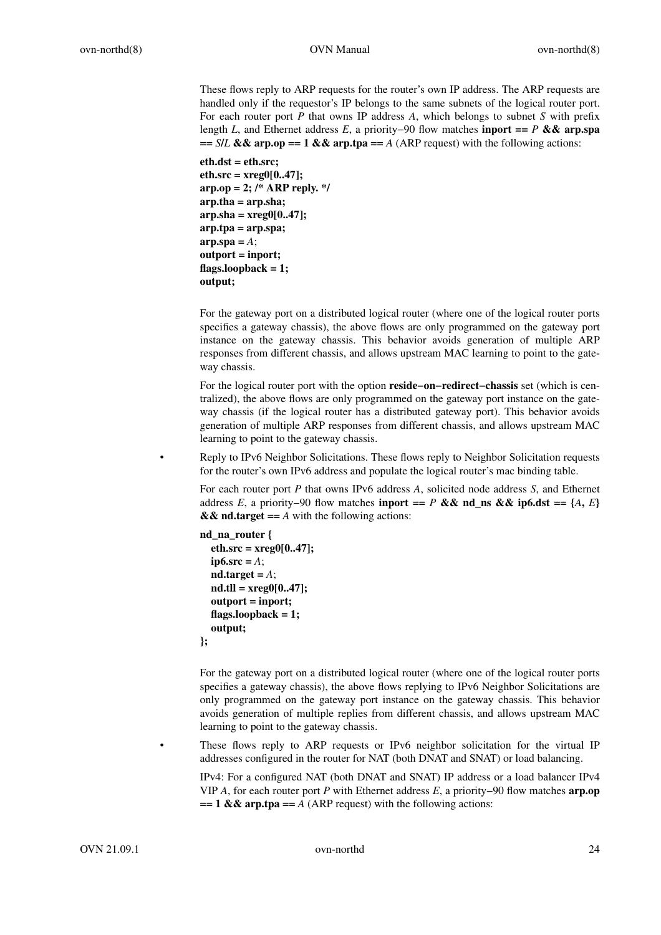These flows reply to ARP requests for the router's own IP address. The ARP requests are handled only if the requestor's IP belongs to the same subnets of the logical router port. For each router port *P* that owns IP address *A*, which belongs to subnet *S* with prefix length *L*, and Ethernet address *E*,a priority−90 flow matches **inport ==** *P* **&& arp.spa**  $=$  *S/L* && arp.op = 1 && arp.tpa = *A* (ARP request) with the following actions:

**eth.dst = eth.src; eth.src=xreg0[0..47]; arp.op = 2; /\* ARP reply. \*/ arp.tha = arp.sha; arp.sha = xreg0[0..47]; arp.tpa = arp.spa;**  $\mathbf{a} \mathbf{r} \mathbf{p} \cdot \mathbf{a} \mathbf{p} = A$ ; **outport = inport; flags.loopback = 1; output;**

For the gateway port on a distributed logical router (where one of the logical router ports specifies a gateway chassis), the above flows are only programmed on the gateway port instance on the gateway chassis. This behavior avoids generation of multiple ARP responses from different chassis, and allows upstream MAC learning to point to the gateway chassis.

For the logical router port with the option **reside−on−redirect−chassis** set (which is centralized), the above flows are only programmed on the gateway port instance on the gateway chassis (if the logical router has a distributed gateway port). This behavior avoids generation of multiple ARP responses from different chassis, and allows upstream MAC learning to point to the gateway chassis.

• Reply to IPv6 Neighbor Solicitations. These flows reply to Neighbor Solicitation requests for the router's own IPv6 address and populate the logical router's mac binding table.

For each router port *P* that owns IPv6 address *A*, solicited node address *S*, and Ethernet address *E*, a priority−90 flow matches **inport ==** *P* && nd\_ns && ip6.dst == { $A, E$ }  $&$   $&$  **nd.target** =  $A$  with the following actions:

```
nd_na_router {
  eth.src=xreg0[0..47];
  ip6.src = A;
  nd.target = A;
  nd.tll = xreg0[0..47];
  outport = inport;
  flags.loopback = 1;
  output;
};
```
For the gateway port on a distributed logical router (where one of the logical router ports specifies a gateway chassis), the above flows replying to IPv6 Neighbor Solicitations are only programmed on the gateway port instance on the gateway chassis. This behavior avoids generation of multiple replies from different chassis, and allows upstream MAC learning to point to the gateway chassis.

These flows reply to ARP requests or IPv6 neighbor solicitation for the virtual IP addresses configured in the router for NAT (both DNAT and SNAT) or load balancing.

IPv4: For a configured NAT (both DNAT and SNAT) IP address or a load balancer IPv4 VIP *A*, for each router port *P* with Ethernet address *E*,apriority−90 flow matches **arp.op**  $== 1$  &  $\&$  arp.tpa =  $A$  (ARP request) with the following actions: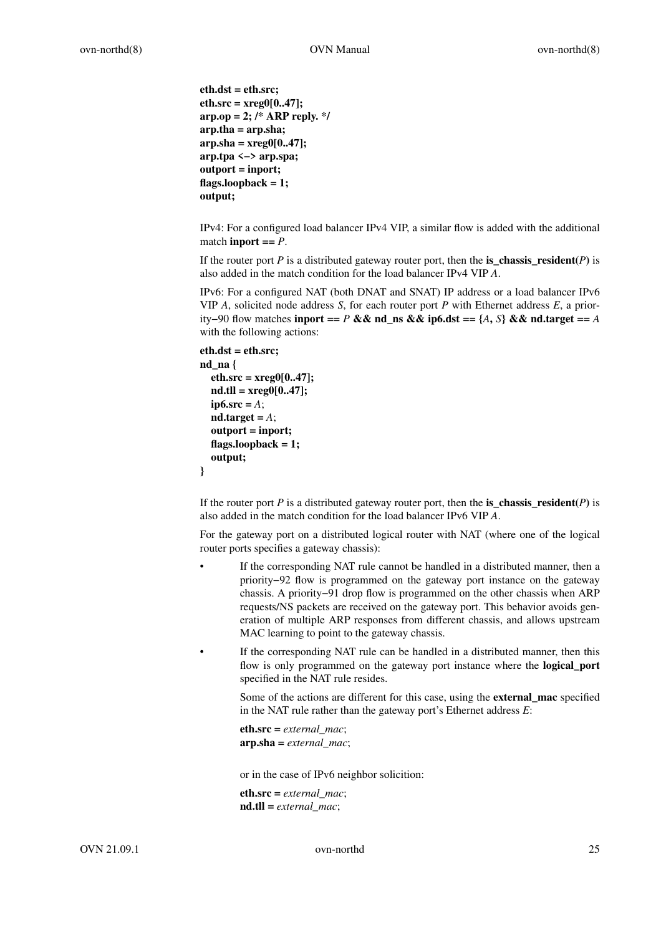```
eth.dst = eth.src;
eth.src=xreg0[0..47];
arp.op = 2; /* ARP reply. */
arp.tha = arp.sha;
arp.sha = xreg0[0..47];
arp.tpa <−> arp.spa;
outport = inport;
flags.loopback = 1;
output;
```
IPv4: For a configured load balancer IPv4 VIP,asimilar flow is added with the additional match **inport**  $==$   $P$ .

If the router port *P* is a distributed gateway router port, then the **is\_chassis\_resident** $(P)$  is also added in the match condition for the load balancer IPv4 VIP *A*.

IPv6: For a configured NAT (both DNAT and SNAT) IP address or a load balancer IPv6 VIP *A*, solicited node address *S*, for each router port *P* with Ethernet address *E*,apriority−90 flow matches **inport ==** *P* **&& nd\_ns && ip6.dst == {***A***,** *S***} && nd.target ==** *A* with the following actions:

```
eth.dst = eth.src;
nd_na {
  eth.src=xreg0[0..47];
  nd.tll = xreg0[0..47];
  ip6.src = A;nd.target = A;
  outport = inport;
  flags.loopback = 1;
  output;
}
```
If the router port *P* is a distributed gateway router port, then the **is\_chassis\_resident** $(P)$  is also added in the match condition for the load balancer IPv6 VIP *A*.

For the gateway port on a distributed logical router with NAT (where one of the logical router ports specifies a gateway chassis):

If the corresponding NAT rule cannot be handled in a distributed manner, then a priority−92 flow is programmed on the gateway port instance on the gateway chassis. A priority−91 drop flow is programmed on the other chassis when ARP requests/NS packets are received on the gateway port. This behavior avoids generation of multiple ARP responses from different chassis, and allows upstream MAC learning to point to the gateway chassis.

If the corresponding NAT rule can be handled in a distributed manner, then this flow is only programmed on the gateway port instance where the **logical\_port** specified in the NAT rule resides.

Some of the actions are different for this case, using the **external\_mac** specified in the NAT rule rather than the gateway port's Ethernet address *E*:

**eth.src =** *external\_mac*; **arp.sha =** *external\_mac*;

or in the case of IPv6 neighbor solicition:

**eth.src =** *external\_mac*; **nd.tll =** *external\_mac*;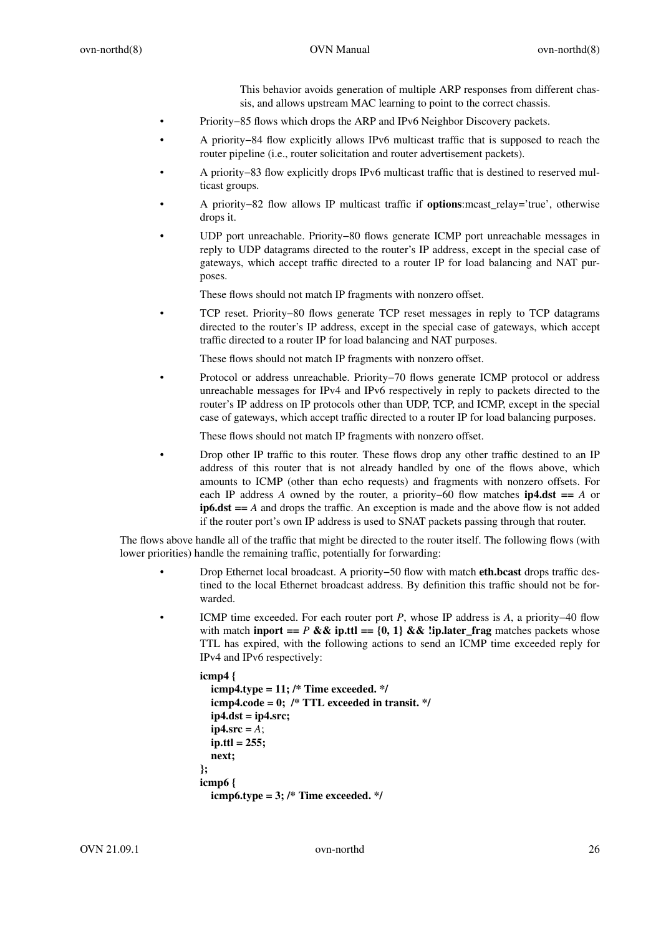This behavior avoids generation of multiple ARP responses from different chassis, and allows upstream MAC learning to point to the correct chassis.

- Priority−85 flows which drops the ARP and IPv6 Neighbor Discovery packets.
- A priority−84 flow explicitly allows IPv6 multicast traffic that is supposed to reach the router pipeline (i.e., router solicitation and router advertisement packets).
- A priority−83 flow explicitly drops IPv6 multicast traffic that is destined to reserved multicast groups.
- A priority−82 flow allows IP multicast traffic if **options**:mcast\_relay='true', otherwise drops it.
- UDP port unreachable. Priority−80 flows generate ICMP port unreachable messages in reply to UDP datagrams directed to the router's IP address, except in the special case of gateways, which accept traffic directed to a router IP for load balancing and NAT purposes.

These flows should not match IP fragments with nonzero offset.

• TCP reset. Priority−80 flows generate TCP reset messages in reply to TCP datagrams directed to the router's IP address, except in the special case of gateways, which accept traffic directed to a router IP for load balancing and NAT purposes.

These flows should not match IP fragments with nonzero offset.

• Protocol or address unreachable. Priority−70 flows generate ICMP protocol or address unreachable messages for IPv4 and IPv6 respectively in reply to packets directed to the router's IP address on IP protocols other than UDP, TCP, and ICMP, except in the special case of gateways, which accept traffic directed to a router IP for load balancing purposes.

These flows should not match IP fragments with nonzero offset.

• Drop other IP traffic to this router. These flows drop any other traffic destined to an IP address of this router that is not already handled by one of the flows above, which amounts to ICMP (other than echo requests) and fragments with nonzero offsets. For each IP address *A* owned by the router, a priority–60 flow matches **ip4.dst** == *A* or **ip6.dst ==** *A* and drops the traffic. An exception is made and the above flow is not added if the router port's own IP address is used to SNAT packets passing through that router.

The flows above handle all of the traffic that might be directed to the router itself. The following flows (with lower priorities) handle the remaining traffic, potentially for forwarding:

- Drop Ethernet local broadcast. A priority−50 flow with match **eth.bcast** drops traffic destined to the local Ethernet broadcast address. By definition this traffic should not be forwarded.
- ICMP time exceeded. For each router port *P*, whose IP address is *A*,apriority−40 flow with match **inport ==**  $P \& \& \text{ip.} \& \text{ip.} \& \& \text{lip.} \& \text{step\_frag}$  matches packets whose TTL has expired, with the following actions to send an ICMP time exceeded reply for IPv4 and IPv6 respectively:

```
icmp4 {
  icmp4.type = 11; /* Time exceeded. */
  icmp4.code = 0; /* TTL exceeded in transit. */
  ip4.dst = ip4.src;
  ip4.src = A;
  ip.ttl = 255;
  next;
};
icmp6 {
  icmp6.type = 3; /* Time exceeded. */
```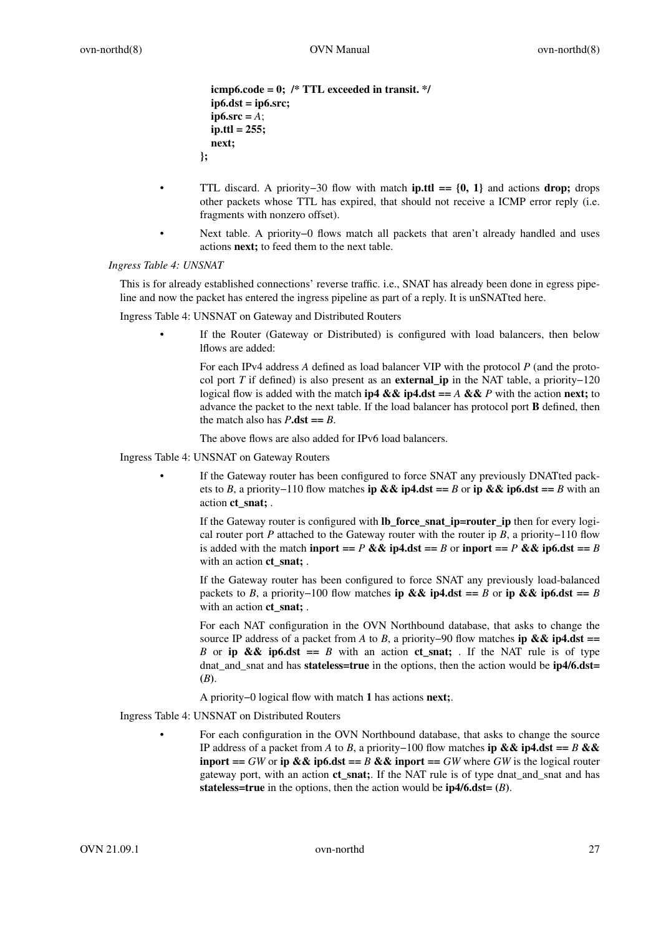```
icmp6.code = 0; /* TTL exceeded in transit. */
  ip6.dst = ip6.src;
  ip6.src = A;
  ip.ttl = 255;
  next;
};
```
- TTL discard. A priority−30 flow with match **ip.ttl == {0, 1}** and actions **drop;** drops other packets whose TTL has expired, that should not receive a ICMP error reply (i.e. fragments with nonzero offset).
- Next table. A priority−0 flows match all packets that aren't already handled and uses actions **next;** to feed them to the next table.

### *Ingress Table 4: UNSNAT*

This is for already established connections' reverse traffic. i.e., SNAT has already been done in egress pipeline and now the packet has entered the ingress pipeline as part of a reply. It is unSNATted here.

Ingress Table 4: UNSNAT on Gateway and Distributed Routers

If the Router (Gateway or Distributed) is configured with load balancers, then below lflows are added:

For each IPv4 address *A* defined as load balancer VIP with the protocol *P* (and the protocol port *T* if defined) is also present as an **external\_ip** in the NAT table, a priority−120 logical flow is added with the match **ip4 && ip4.dst ==** *A* **&&** *P* with the action **next;** to advance the packet to the next table. If the load balancer has protocol port **B** defined, then the match also has  $P \cdot \text{dst} == B$ .

The above flows are also added for IPv6 load balancers.

Ingress Table 4: UNSNAT on Gateway Routers

If the Gateway router has been configured to force SNAT any previously DNATted packets to *B*,apriority−110 flow matches **ip && ip4.dst ==** *B* or **ip && ip6.dst ==** *B* with an action **ct\_snat;** .

If the Gateway router is configured with **lb\_force\_snat\_ip=router\_ip** then for every logical router port *P* attached to the Gateway router with the router ip *B*, a priority−110 flow is added with the match **inport** ==  $P \& \& \textbf{ip4.}$ dst ==  $B \text{ or } \textbf{inport} == P \& \& \textbf{ip6.}$ dst ==  $B \& \textbf{ip7.}$ with an action **ct\_snat;** .

If the Gateway router has been configured to force SNAT any previously load-balanced packets to *B*, a priority−100 flow matches **ip && ip4.dst** == *B* or **ip && ip6.dst** == *B* with an action **ct** snat; .

For each NAT configuration in the OVN Northbound database, that asks to change the source IP address of a packet from *A* to *B*, a priority−90 flow matches **ip && ip4.dst** == *B* or **ip && ip6.dst** == *B* with an action **ct** snat; . If the NAT rule is of type dnat\_and\_snat and has **stateless=true** in the options, then the action would be **ip4/6.dst= (***B***)**.

A priority−0 logical flow with match **1** has actions **next;**.

Ingress Table 4: UNSNAT on Distributed Routers

• For each configuration in the OVN Northbound database, that asks to change the source IP address of a packet from *A* to *B*,apriority−100 flow matches **ip && ip4.dst ==** *B* **&& inport ==** *GW* or **ip && ip6.dst ==** *B* && **inport ==** *GW* where *GW* is the logical router gateway port, with an action **ct\_snat;**. If the NAT rule is of type dnat\_and\_snat and has **stateless=true** in the options, then the action would be  $ip4/6.$ dst= $(B)$ .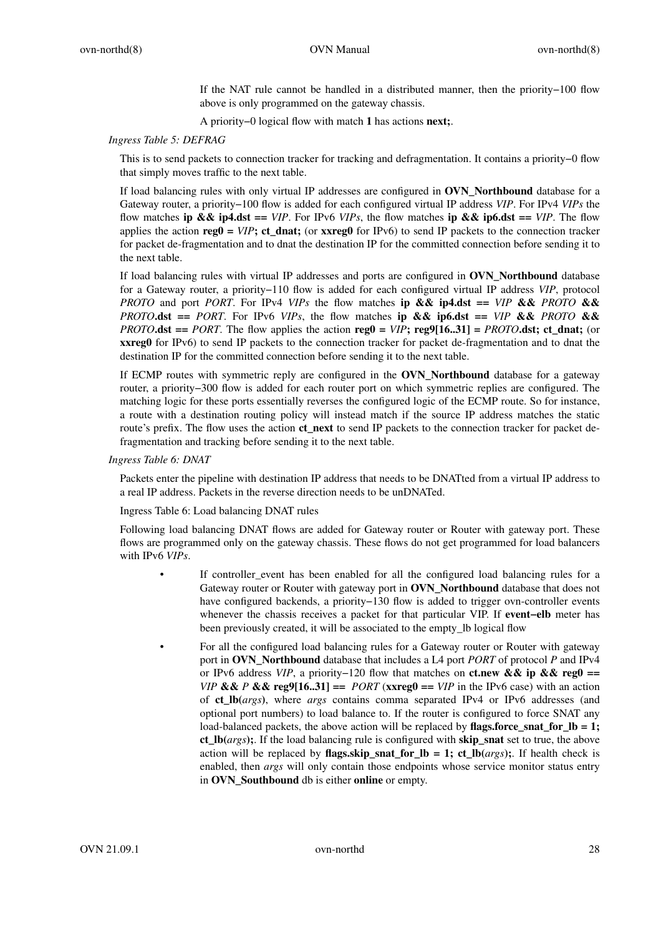If the NAT rule cannot be handled in a distributed manner, then the priority−100 flow above is only programmed on the gateway chassis.

A priority−0 logical flow with match **1** has actions **next;**.

### *Ingress Table 5: DEFRAG*

This is to send packets to connection tracker for tracking and defragmentation. It contains a priority−0 flow that simply moves traffic to the next table.

If load balancing rules with only virtual IP addresses are configured in **OVN\_Northbound** database for a Gateway router,apriority−100 flow is added for each configured virtual IP address *VIP*. For IPv4 *VIPs* the flow matches **ip && ip4.dst** == *VIP*. For IPv6 *VIPs*, the flow matches **ip && ip6.dst** == *VIP*. The flow applies the action **reg0 =** *VIP***; ct\_dnat;** (or **xxreg0** for IPv6) to send IP packets to the connection tracker for packet de-fragmentation and to dnat the destination IP for the committed connection before sending it to the next table.

If load balancing rules with virtual IP addresses and ports are configured in **OVN\_Northbound** database for a Gateway router, a priority−110 flow is added for each configured virtual IP address *VIP*, protocol *PROTO* and port *PORT*. For IPv4 *VIPs* the flow matches **ip && ip4.dst** == *VIP* && *PROTO* && *PROTO***.dst** == *PORT*. For IPv6 *VIPs*, the flow matches ip && ip6.dst == *VIP* && *PROTO* && *PROTO***.dst** == *PORT*. The flow applies the action **reg0** =  $VIP$ **; reg9[16..31]** = *PROTO***.dst**; ct\_dnat; (or **xxreg0** for IPv6) to send IP packets to the connection tracker for packet de-fragmentation and to dnat the destination IP for the committed connection before sending it to the next table.

If ECMP routes with symmetric reply are configured in the **OVN\_Northbound** database for a gateway router, a priority−300 flow is added for each router port on which symmetric replies are configured. The matching logic for these ports essentially reverses the configured logic of the ECMP route. So for instance, a route with a destination routing policy will instead match if the source IP address matches the static route's prefix. The flow uses the action **ct\_next** to send IP packets to the connection tracker for packet defragmentation and tracking before sending it to the next table.

*Ingress Table 6: DNAT*

Packets enter the pipeline with destination IP address that needs to be DNATted from a virtual IP address to a real IP address. Packets in the reverse direction needs to be unDNATed.

Ingress Table 6: Load balancing DNAT rules

Following load balancing DNAT flows are added for Gateway router or Router with gateway port. These flows are programmed only on the gateway chassis. These flows do not get programmed for load balancers with IPv6 *VIPs*.

- If controller\_event has been enabled for all the configured load balancing rules for a Gateway router or Router with gateway port in **OVN\_Northbound** database that does not have configured backends, a priority−130 flow is added to trigger ovn-controller events whenever the chassis receives a packet for that particular VIP. If **event**-elb meter has been previously created, it will be associated to the empty\_lb logical flow
- For all the configured load balancing rules for a Gateway router or Router with gateway port in **OVN\_Northbound** database that includes a L4 port *PORT* of protocol *P* and IPv4 or IPv6 address *VIP*, a priority−120 flow that matches on **ct.new && ip && reg0 ==** *VIP* && *P* && reg9[16..31] == *PORT* ( $xxreg0 == VIP$  in the IPv6 case) with an action of **ct\_lb(***args***)**, where *args* contains comma separated IPv4 or IPv6 addresses (and optional port numbers) to load balance to. If the router is configured to force SNAT any load-balanced packets, the above action will be replaced by **flags.force\_snat\_for\_lb = 1; ct\_lb(***args***);**. If the load balancing rule is configured with **skip\_snat** set to true, the above action will be replaced by **flags.skip\_snat\_for\_lb = 1; ct\_lb**( $args$ ); If health check is enabled, then *args* will only contain those endpoints whose service monitor status entry in **OVN\_Southbound** db is either **online** or empty.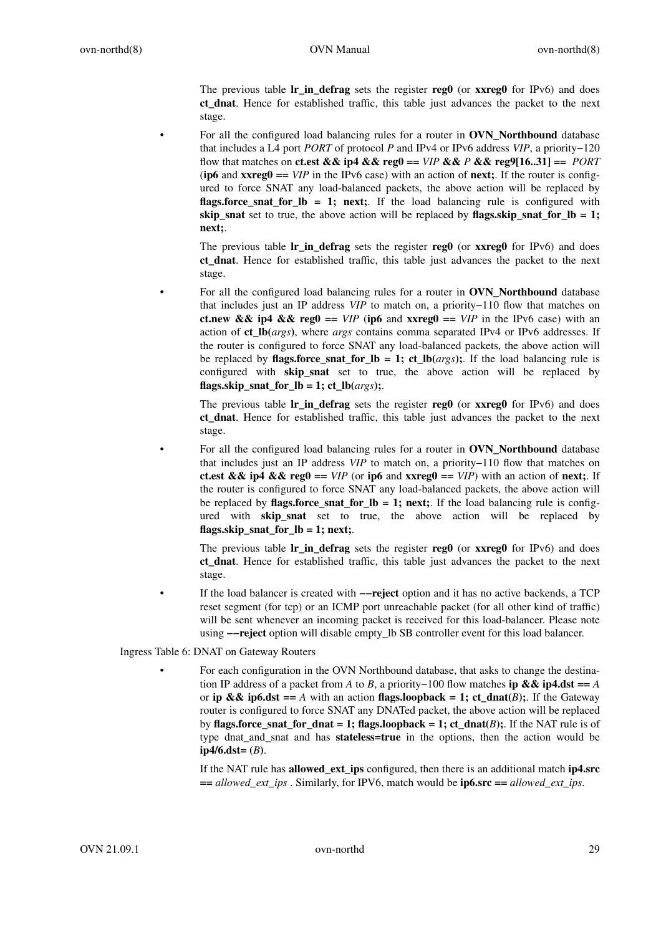The previous table **lr\_in\_defrag** sets the register **reg0** (or **xxreg0** for IPv6) and does **ct\_dnat**. Hence for established traffic, this table just advances the packet to the next stage.

• For all the configured load balancing rules for a router in **OVN\_Northbound** database that includes a L4 port *PORT* of protocol *P* and IPv4 or IPv6 address *VIP*,apriority−120 flow that matches on **ct.est && ip4 && reg0** ==  $VIP$  **&&**  $P$  **&& reg9**[16..31] ==  $PORT$ (**ip6** and  $xxreg0 == VIP$  in the IPv6 case) with an action of **next;**. If the router is configured to force SNAT any load-balanced packets, the above action will be replaced by **flags.force snat for**  $\bf{lb} = 1$ **; next;.** If the load balancing rule is configured with **skip** snat set to true, the above action will be replaced by **flags.skip** snat for  $\mathbf{lb} = 1$ ; **next;**.

The previous table **lr\_in\_defrag** sets the register **reg0** (or **xxreg0** for IPv6) and does **ct\_dnat**. Hence for established traffic, this table just advances the packet to the next stage.

• For all the configured load balancing rules for a router in **OVN\_Northbound** database that includes just an IP address *VIP* to match on, a priority−110 flow that matches on **ct.new && ip4 && reg0 ==**  $VIP$  (ip6 and **xxreg0 ==**  $VIP$  in the IPv6 case) with an action of **ct\_lb(***args***)**, where *args* contains comma separated IPv4 or IPv6 addresses. If the router is configured to force SNAT any load-balanced packets, the above action will be replaced by **flags.force** snat for  $\bf{lb} = 1$ ; ct  $\bf{lb}(args)$ ;. If the load balancing rule is configured with **skip snat** set to true, the above action will be replaced by **flags.skip\_snat\_for\_lb = 1; ct\_lb(** $args$ **);.** 

The previous table **lr\_in\_defrag** sets the register **reg0** (or **xxreg0** for IPv6) and does **ct\_dnat**. Hence for established traffic, this table just advances the packet to the next stage.

• For all the configured load balancing rules for a router in **OVN\_Northbound** database that includes just an IP address *VIP* to match on, a priority−110 flow that matches on **ct.est && ip4 && reg0 ==**  $VIP$  (or **ip6** and **xxreg0 ==**  $VIP$ ) with an action of **next**;. If the router is configured to force SNAT any load-balanced packets, the above action will be replaced by **flags.force\_snat\_for\_lb = 1; next;**. If the load balancing rule is configured with **skip\_snat** set to true, the above action will be replaced by **flags.skip\_snat\_for\_lb = 1; next;**.

The previous table **lr\_in\_defrag** sets the register **reg0** (or **xxreg0** for IPv6) and does **ct\_dnat**. Hence for established traffic, this table just advances the packet to the next stage.

• If the load balancer is created with **−−reject** option and it has no active backends, a TCP reset segment (for tcp) or an ICMP port unreachable packet (for all other kind of traffic) will be sent whenever an incoming packet is received for this load-balancer. Please note using **−−reject** option will disable empty\_lb SB controller event for this load balancer.

Ingress Table 6: DNAT on Gateway Routers

• For each configuration in the OVN Northbound database, that asks to change the destination IP address of a packet from *A* to *B*, a priority−100 flow matches **ip && ip4.dst** == *A* or **ip && ip6.dst** == *A* with an action **flags.loopback = 1; ct\_dnat** $(B)$ ;. If the Gateway router is configured to force SNAT any DNATed packet, the above action will be replaced by **flags.force\_snat\_for\_dnat = 1; flags.loopback = 1; ct\_dnat(***B***);. If the NAT rule is of** type dnat\_and\_snat and has **stateless=true** in the options, then the action would be  $ip4/6.$ dst= $(B)$ .

If the NAT rule has **allowed\_ext\_ips** configured, then there is an additional match **ip4.src ==** *allowed\_ext\_ips* . Similarly, for IPV6, match would be **ip6.src ==** *allowed\_ext\_ips*.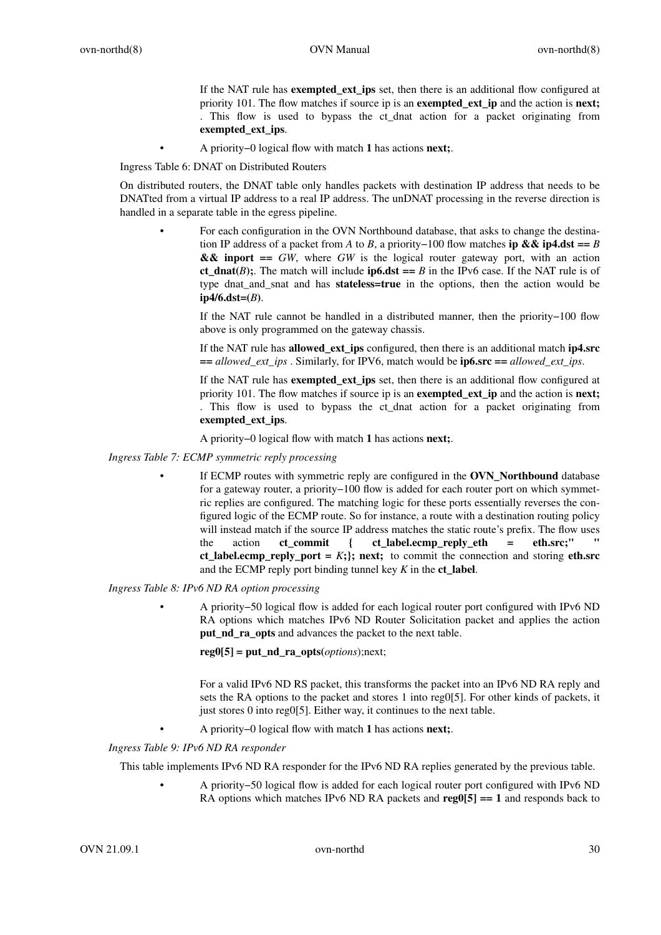If the NAT rule has **exempted\_ext\_ips** set, then there is an additional flow configured at priority 101. The flow matches if source ip is an **exempted\_ext\_ip** and the action is **next;** . This flow is used to bypass the ct\_dnat action for a packet originating from **exempted\_ext\_ips**.

• A priority−0 logical flow with match **1** has actions **next;**.

Ingress Table 6: DNAT on Distributed Routers

On distributed routers, the DNAT table only handles packets with destination IP address that needs to be DNATted from a virtual IP address to a real IP address. The unDNAT processing in the reverse direction is handled in a separate table in the egress pipeline.

• For each configuration in the OVN Northbound database, that asks to change the destination IP address of a packet from *A* to *B*, a priority–100 flow matches **ip && ip4.dst** == *B* **&& inport ==** *GW*, where *GW* is the logical router gateway port, with an action **ct\_dnat(***B***)**; The match will include **ip6.dst** == *B* in the IPv6 case. If the NAT rule is of type dnat\_and\_snat and has **stateless=true** in the options, then the action would be **ip4/6.dst=(***B***)**.

If the NAT rule cannot be handled in a distributed manner, then the priority−100 flow above is only programmed on the gateway chassis.

If the NAT rule has **allowed\_ext\_ips** configured, then there is an additional match **ip4.src ==** *allowed\_ext\_ips* . Similarly, for IPV6, match would be **ip6.src ==** *allowed\_ext\_ips*.

If the NAT rule has **exempted\_ext\_ips** set, then there is an additional flow configured at priority 101. The flow matches if source ip is an **exempted\_ext\_ip** and the action is **next;** . This flow is used to bypass the ct\_dnat action for a packet originating from **exempted\_ext\_ips**.

A priority−0 logical flow with match **1** has actions **next;**.

*Ingress Table 7: ECMP symmetric reply processing*

If ECMP routes with symmetric reply are configured in the **OVN\_Northbound** database for a gateway router, a priority−100 flow is added for each router port on which symmetric replies are configured. The matching logic for these ports essentially reverses the configured logic of the ECMP route. So for instance, a route with a destination routing policy will instead match if the source IP address matches the static route's prefix. The flow uses the action **ct** commit { ct label.ecmp\_reply\_eth = eth.src;" **ct\_label.ecmp\_reply\_port =**  $K$ **;**}; next; to commit the connection and storing **eth.src** and the ECMP reply port binding tunnel key *K* in the **ct\_label**.

*Ingress Table 8: IPv6 ND RA option processing*

• A priority−50 logical flow is added for each logical router port configured with IPv6 ND RA options which matches IPv6 ND Router Solicitation packet and applies the action **put\_nd\_ra\_opts** and advances the packet to the next table.

 $reg0[5] = put nd ra opts( *options*);next;$ 

For a valid IPv6 ND RS packet, this transforms the packet into an IPv6 ND RA reply and sets the RA options to the packet and stores 1 into reg0[5]. For other kinds of packets, it just stores 0 into reg0[5]. Either way, it continues to the next table.

• A priority−0 logical flow with match **1** has actions **next;**.

*Ingress Table 9: IPv6 ND RA responder*

This table implements IPv6 ND RA responder for the IPv6 ND RA replies generated by the previous table.

• A priority−50 logical flow is added for each logical router port configured with IPv6 ND RA options which matches IPv6 ND RA packets and **reg0[5] == 1** and responds back to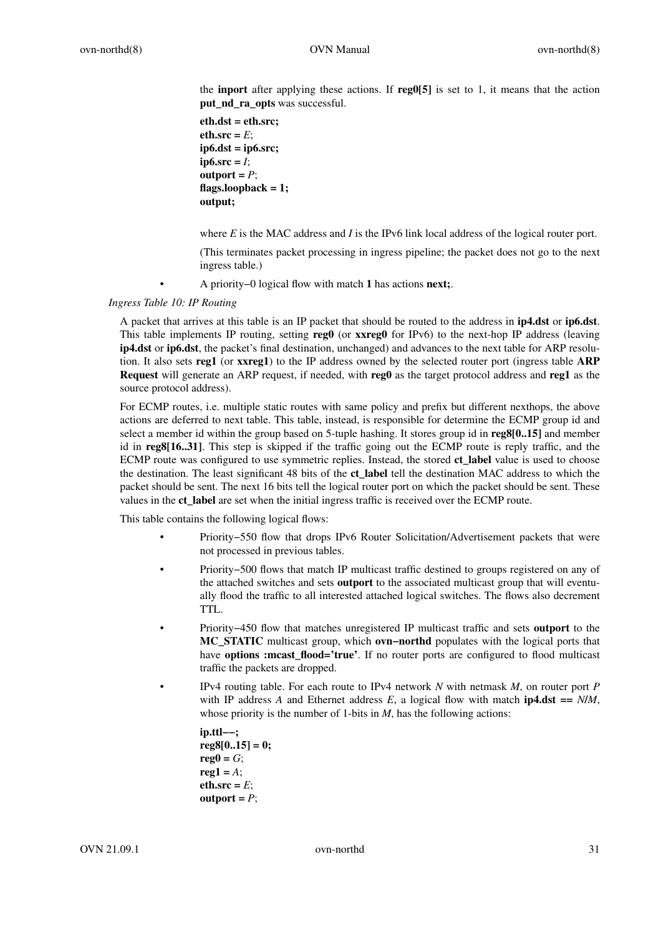the **inport** after applying these actions. If **reg0[5]** is set to 1, it means that the action **put\_nd\_ra\_opts** was successful.

```
eth.dst = eth.src;
eth.src = E;
ip6.dst = ip6.src;
ip6.src = <i>I</i>;\text{output} = P;
flags.loopback = 1;
output;
```
where *E* is the MAC address and *I* is the IPv6 link local address of the logical router port.

(This terminates packet processing in ingress pipeline; the packet does not go to the next ingress table.)

• A priority−0 logical flow with match **1** has actions **next;**.

# *Ingress Table 10: IP Routing*

A packet that arrives at this table is an IP packet that should be routed to the address in **ip4.dst** or **ip6.dst**. This table implements IP routing, setting **reg0** (or **xxreg0** for IPv6) to the next-hop IP address (leaving **ip4.dst** or **ip6.dst**, the packet's final destination, unchanged) and advances to the next table for ARP resolution. It also sets **reg1** (or **xxreg1**) to the IP address owned by the selected router port (ingress table **ARP Request** will generate an ARP request, if needed, with **reg0** as the target protocol address and **reg1** as the source protocol address).

For ECMP routes, i.e. multiple static routes with same policy and prefix but different nexthops, the above actions are deferred to next table. This table, instead, is responsible for determine the ECMP group id and select a member id within the group based on 5-tuple hashing. It stores group id in **reg8[0..15]** and member id in **reg8[16..31]**. This step is skipped if the traffic going out the ECMP route is reply traffic, and the ECMP route was configured to use symmetric replies. Instead, the stored **ct\_label** value is used to choose the destination. The least significant 48 bits of the **ct\_label** tell the destination MAC address to which the packet should be sent. The next 16 bits tell the logical router port on which the packet should be sent. These values in the **ct\_label** are set when the initial ingress traffic is received over the ECMP route.

This table contains the following logical flows:

- Priority−550 flow that drops IPv6 Router Solicitation/Advertisement packets that were not processed in previous tables.
- Priority−500 flows that match IP multicast traffic destined to groups registered on any of the attached switches and sets **outport** to the associated multicast group that will eventually flood the traffic to all interested attached logical switches. The flows also decrement TTL.
- Priority−450 flow that matches unregistered IP multicast traffic and sets **outport** to the **MC\_STATIC** multicast group, which **ovn−northd** populates with the logical ports that have **options :mcast\_flood='true'**. If no router ports are configured to flood multicast traffic the packets are dropped.
- IPv4 routing table. For each route to IPv4 network *N* with netmask *M*, on router port *P* with IP address A and Ethernet address E, a logical flow with match **ip4.dst** ==  $N/M$ , whose priority is the number of 1-bits in *M*, has the following actions:

```
ip.ttl−−;
reg8[0..15] = 0;
reg0 = G;
\text{reg1} = A;
eth.src = E;
\text{output} = P;
```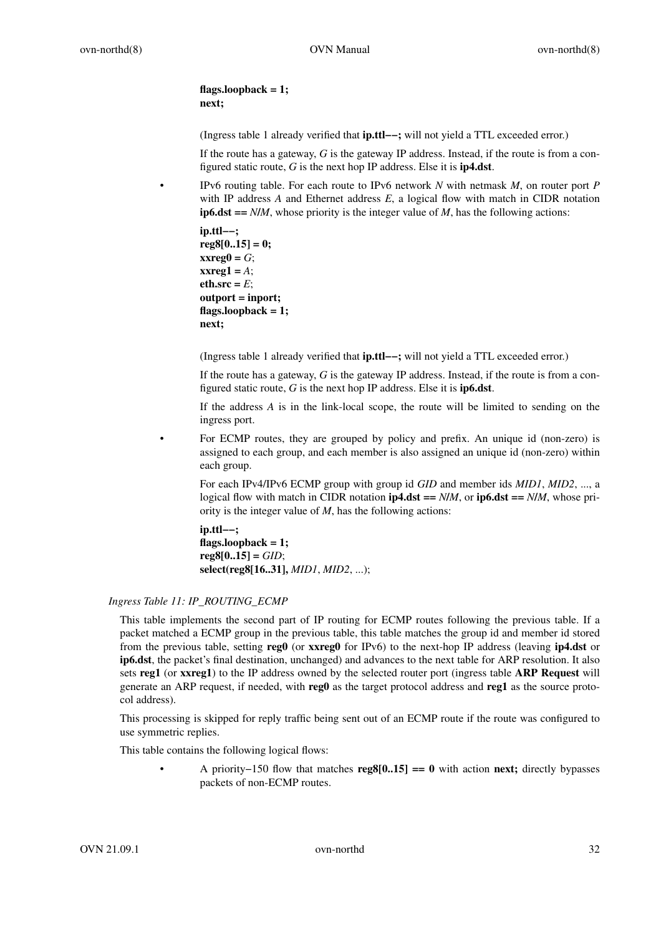**flags.loopback = 1; next;**

(Ingress table 1 already verified that **ip.ttl−−;** will not yield a TTL exceeded error.)

If the route has a gateway, *G* is the gateway IP address. Instead, if the route is from a configured static route, *G* is the next hop IP address. Else it is **ip4.dst**.

• IPv6 routing table. For each route to IPv6 network *N* with netmask *M*, on router port *P* with IP address  $A$  and Ethernet address  $E$ , a logical flow with match in CIDR notation **ip6.dst** ==  $N/M$ , whose priority is the integer value of  $M$ , has the following actions:

**ip.ttl−−; reg8[0..15] = 0;**  $\bf x \bf x \bf r \bf e \bf g \bf 0 = G;$ **xxreg1 =** *A*;  $eth.src = E$ ; **outport = inport; flags.loopback = 1; next;**

(Ingress table 1 already verified that **ip.ttl−−;** will not yield a TTL exceeded error.)

If the route has a gateway, *G* is the gateway IP address. Instead, if the route is from a configured static route, *G* is the next hop IP address. Else it is **ip6.dst**.

If the address *A* is in the link-local scope, the route will be limited to sending on the ingress port.

• For ECMP routes, they are grouped by policy and prefix. An unique id (non-zero) is assigned to each group, and each member is also assigned an unique id (non-zero) within each group.

For each IPv4/IPv6 ECMP group with group id *GID* and member ids *MID1*, *MID2*, ..., a logical flow with match in CIDR notation  $ip4.$ dst ==  $N/M$ , or  $ip6.$ dst ==  $N/M$ , whose priority is the integer value of *M*, has the following actions:

**ip.ttl−−; flags.loopback = 1; reg8[0..15] =** *GID*; **select(reg8[16..31],** *MID1*, *MID2*, ...);

# *Ingress Table 11: IP\_ROUTING\_ECMP*

This table implements the second part of IP routing for ECMP routes following the previous table. If a packet matched a ECMP group in the previous table, this table matches the group id and member id stored from the previous table, setting **reg0** (or **xxreg0** for IPv6) to the next-hop IP address (leaving **ip4.dst** or **ip6.dst**, the packet's final destination, unchanged) and advances to the next table for ARP resolution. It also sets **reg1** (or **xxreg1**) to the IP address owned by the selected router port (ingress table **ARP Request** will generate an ARP request, if needed, with **reg0** as the target protocol address and **reg1** as the source protocol address).

This processing is skipped for reply traffic being sent out of an ECMP route if the route was configured to use symmetric replies.

This table contains the following logical flows:

• A priority−150 flow that matches **reg8[0..15] == 0** with action **next;** directly bypasses packets of non-ECMP routes.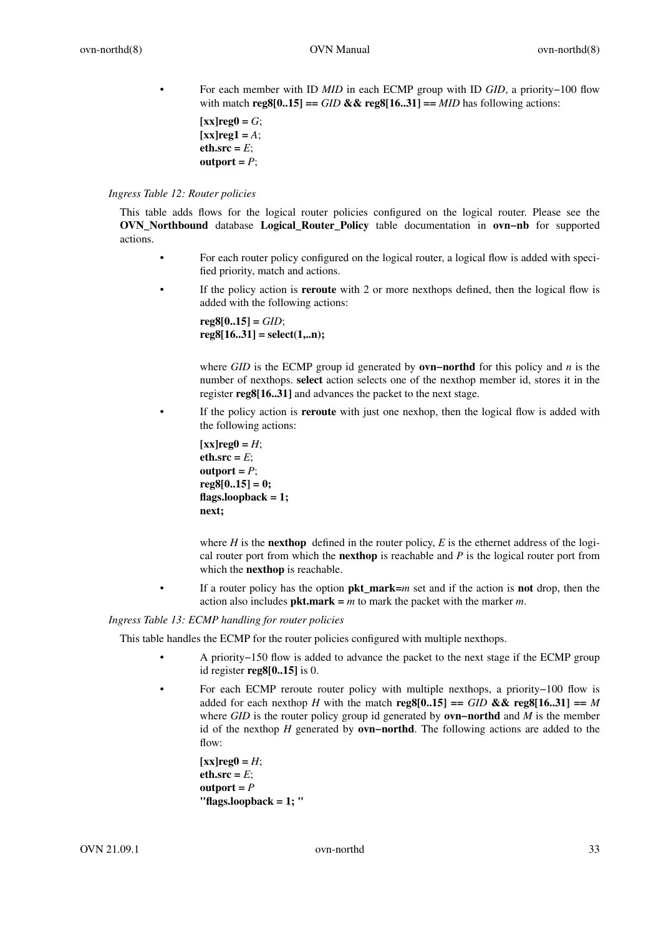• For each member with ID *MID* in each ECMP group with ID *GID*,apriority−100 flow with match  $\text{reg8}[0..15] ==$  *GID* &&  $\text{reg8}[16..31] ==$  *MID* has following actions:

```
\mathbf{[xx]}\mathbf{r}eg\mathbf{0} = G;
\lceilxx\rceilreg1 = A;
eth.src = E;
output = P;
```
### *Ingress Table 12: Router policies*

This table adds flows for the logical router policies configured on the logical router. Please see the **OVN\_Northbound** database **Logical\_Router\_Policy** table documentation in **ovn−nb** for supported actions.

- For each router policy configured on the logical router, a logical flow is added with specified priority, match and actions.
- If the policy action is **reroute** with 2 or more nexthops defined, then the logical flow is added with the following actions:

**reg8[0..15] =** *GID*; **reg8[16..31] = select(1,..n);**

where *GID* is the ECMP group id generated by **ovn−northd** for this policy and *n* is the number of nexthops. **select** action selects one of the nexthop member id, stores it in the register **reg8[16..31]** and advances the packet to the next stage.

If the policy action is **reroute** with just one nexhop, then the logical flow is added with the following actions:

```
\lceilxx\lceilreg0 = H;
eth.src = E;
output = P;
reg8[0..15] = 0;
flags.loopback = 1;
next;
```
where *H* is the **nexthop** defined in the router policy, *E* is the ethernet address of the logical router port from which the **nexthop** is reachable and *P* is the logical router port from which the **nexthop** is reachable.

• If a router policy has the option **pkt\_mark=***m* set and if the action is **not** drop, then the action also includes **pkt.mark =** *m* to mark the packet with the marker *m*.

# *Ingress Table 13: ECMP handling for router policies*

This table handles the ECMP for the router policies configured with multiple nexthops.

- A priority−150 flow is added to advance the packet to the next stage if the ECMP group id register **reg8[0..15]** is 0.
- For each ECMP reroute router policy with multiple nexthops, a priority−100 flow is added for each nexthop *H* with the match **reg8[0..15]** == *GID* && **reg8[16..31]** == *M* where *GID* is the router policy group id generated by **ovn−northd** and *M* is the member id of the nexthop *H* generated by **ovn−northd**. The following actions are added to the flow:

 $[xx]reg0 = H;$  $eth.src = E$ ;  $output = P$ **"flags.loopback = 1; "**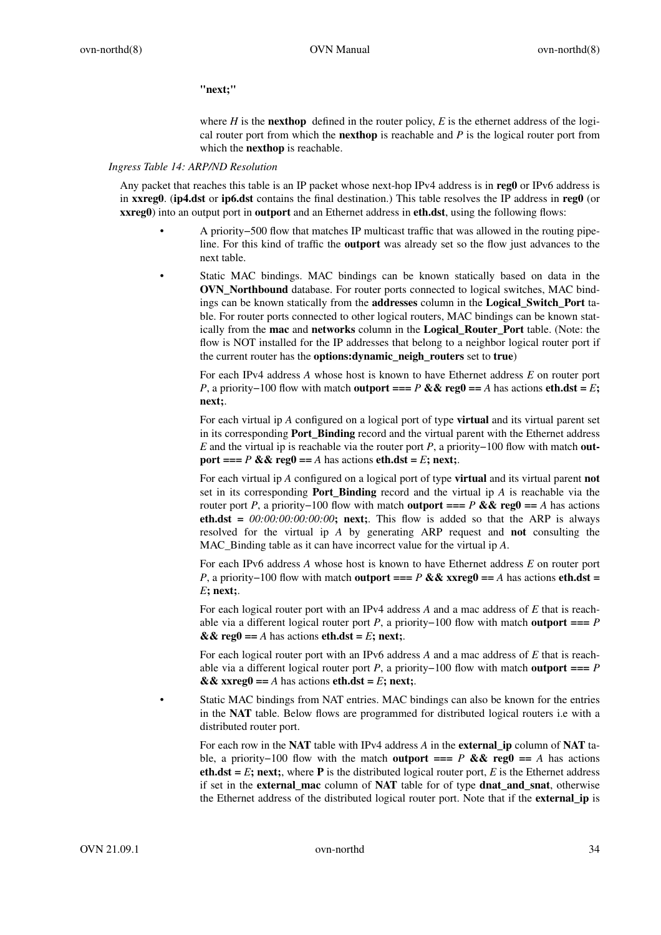## **"next;"**

where  $H$  is the **nexthop** defined in the router policy,  $E$  is the ethernet address of the logical router port from which the **nexthop** is reachable and *P* is the logical router port from which the **nexthop** is reachable.

#### *Ingress Table 14: ARP/ND Resolution*

Any packet that reaches this table is an IP packet whose next-hop IPv4 address is in **reg0** or IPv6 address is in **xxreg0**. (**ip4.dst** or **ip6.dst** contains the final destination.) This table resolves the IP address in **reg0** (or **xxreg0**) into an output port in **outport** and an Ethernet address in **eth.dst**, using the following flows:

- A priority−500 flow that matches IP multicast traffic that was allowed in the routing pipeline. For this kind of traffic the **outport** was already set so the flow just advances to the next table.
	- Static MAC bindings. MAC bindings can be known statically based on data in the **OVN\_Northbound** database. For router ports connected to logical switches, MAC bindings can be known statically from the **addresses** column in the **Logical\_Switch\_Port** table. For router ports connected to other logical routers, MAC bindings can be known statically from the **mac** and **networks** column in the **Logical\_Router\_Port** table. (Note: the flow is NOT installed for the IP addresses that belong to a neighbor logical router port if the current router has the **options:dynamic\_neigh\_routers** set to **true**)

For each IPv4 address *A* whose host is known to have Ethernet address *E* on router port *P*, a priority−100 flow with match **outport** === *P* && reg0 == *A* has actions **eth.dst** = *E*; **next;**.

For each virtual ip *A* configured on a logical port of type **virtual** and its virtual parent set in its corresponding **Port\_Binding** record and the virtual parent with the Ethernet address *E* and the virtual ip is reachable via the router port *P*, a priority−100 flow with match **outport ===** *P* && reg $0 = A$  has actions **eth.dst** = *E*; next;.

For each virtual ip *A* configured on a logical port of type **virtual** and its virtual parent **not** set in its corresponding **Port\_Binding** record and the virtual ip *A* is reachable via the router port *P*, a priority−100 flow with match **outport** ===  $P$  **&& reg0** ==  $A$  has actions **eth.dst** =  $00:00:00:00:00:00$ ; next;. This flow is added so that the ARP is always resolved for the virtual ip *A* by generating ARP request and **not** consulting the MAC\_Binding table as it can have incorrect value for the virtual ip *A*.

For each IPv6 address *A* whose host is known to have Ethernet address *E* on router port *P*, a priority−100 flow with match **outport ===** *P* && xxreg0 == *A* has actions **eth.dst** = *E***; next;**.

For each logical router port with an IPv4 address *A* and a mac address of *E* that is reachable via a different logical router port *P*,apriority−100 flow with match **outport ===** *P*  $& \& \& \text{reg0} == A \text{ has actions } \text{eth.dat} = E; \text{ next};.$ 

For each logical router port with an IPv6 address *A* and a mac address of *E* that is reachable via a different logical router port *P*, a priority−100 flow with match **outport ===** *P*  $\&&x$  xxreg $\theta == A$  has actions  $\text{eth}. \text{dst} = E$ ; next;.

Static MAC bindings from NAT entries. MAC bindings can also be known for the entries in the **NAT** table. Below flows are programmed for distributed logical routers i.e with a distributed router port.

For each row in the **NAT** table with IPv4 address *A* in the **external\_ip** column of **NAT** table, a priority−100 flow with the match **outport ===** *P* **&& reg0 ==** *A* has actions **eth.dst** =  $E$ **; next**;, where **P** is the distributed logical router port,  $E$  is the Ethernet address if set in the **external\_mac** column of **NAT** table for of type **dnat\_and\_snat**, otherwise the Ethernet address of the distributed logical router port. Note that if the **external\_ip** is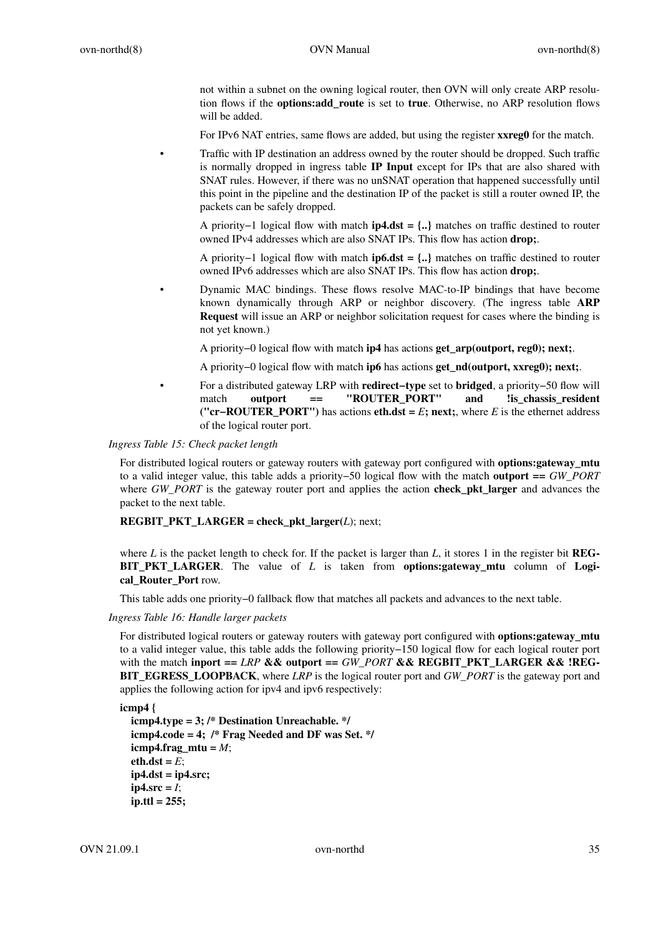not within a subnet on the owning logical router, then OVN will only create ARP resolution flows if the **options:add\_route** is set to **true**. Otherwise, no ARP resolution flows will be added.

For IPv6 NAT entries, same flows are added, but using the register **xxreg0** for the match.

• Traffic with IP destination an address owned by the router should be dropped. Such traffic is normally dropped in ingress table **IP Input** except for IPs that are also shared with SNAT rules. However, if there was no unSNAT operation that happened successfully until this point in the pipeline and the destination IP of the packet is still a router owned IP, the packets can be safely dropped.

A priority−1 logical flow with match **ip4.dst = {..}** matches on traffic destined to router owned IPv4 addresses which are also SNAT IPs. This flow has action **drop;**.

A priority−1 logical flow with match **ip6.dst = {..}** matches on traffic destined to router owned IPv6 addresses which are also SNAT IPs. This flow has action **drop;**.

• Dynamic MAC bindings. These flows resolve MAC-to-IP bindings that have become known dynamically through ARP or neighbor discovery. (The ingress table **ARP Request** will issue an ARP or neighbor solicitation request for cases where the binding is not yet known.)

A priority−0 logical flow with match **ip4** has actions **get\_arp(outport, reg0); next;**.

A priority−0 logical flow with match **ip6** has actions **get\_nd(outport, xxreg0); next;**.

• Foradistributed gateway LRP with **redirect−type** set to **bridged**,apriority−50 flow will match **outport == "ROUTER PORT"** and lis chassis resident **("cr−ROUTER\_PORT")** has actions **eth.dst =** *E***; next;**, where *E* is the ethernet address of the logical router port.

*Ingress Table 15: Check packet length*

For distributed logical routers or gateway routers with gateway port configured with **options:gateway\_mtu** to a valid integer value, this table adds a priority−50 logical flow with the match **outport ==** *GW\_PORT* where *GW\_PORT* is the gateway router port and applies the action **check\_pkt\_larger** and advances the packet to the next table.

**REGBIT\_PKT\_LARGER = check\_pkt\_larger(***L*); next;

where *L* is the packet length to check for. If the packet is larger than *L*, it stores 1 in the register bit **REG-BIT PKT LARGER.** The value of *L* is taken from **options:gateway** mtu column of **Logical\_Router\_Port** row.

This table adds one priority−0 fallback flow that matches all packets and advances to the next table.

*Ingress Table 16: Handle larger packets*

For distributed logical routers or gateway routers with gateway port configured with **options:gateway\_mtu** to a valid integer value, this table adds the following priority−150 logical flow for each logical router port with the match **inport**  $==$  *LRP* && outport  $==$  *GW\_PORT* && REGBIT\_PKT\_LARGER && **!REG-BIT\_EGRESS\_LOOPBACK**, where *LRP* is the logical router port and *GW\_PORT* is the gateway port and applies the following action for ipv4 and ipv6 respectively:

**icmp4 {**

```
icmp4.type = 3; /* Destination Unreachable. */
icmp4.code = 4; /* Frag Needed and DF was Set. */
icmp4.frag mtu = M;
eth.dst = E;
ip4.dst = ip4.src;
ip4.src = <i>I</i>;ip.ttl = 255;
```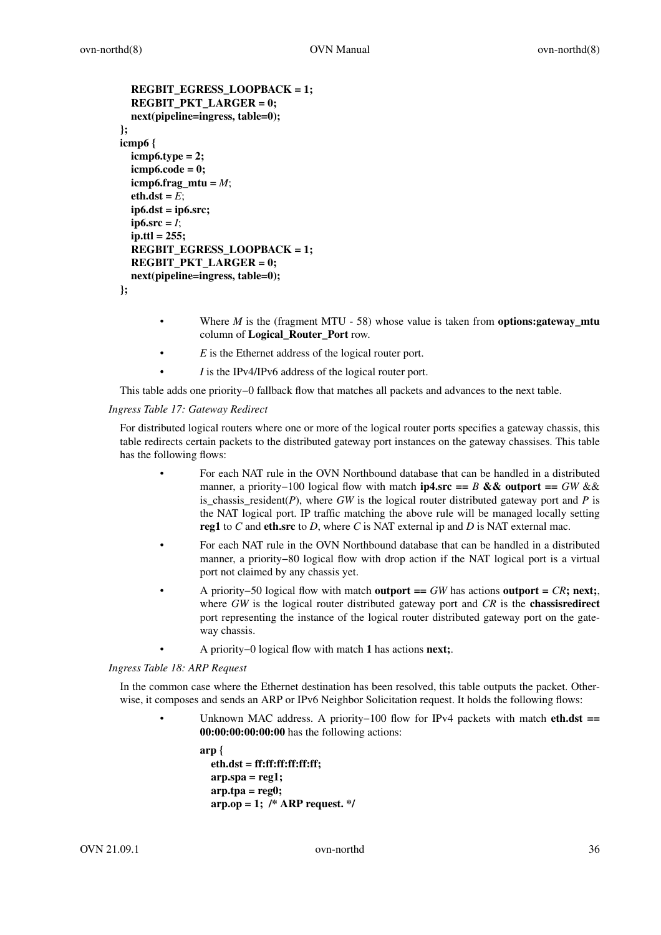```
REGBIT_EGRESS_LOOPBACK=1;
  REGBIT_PKT_LARGER = 0;
  next(pipeline=ingress, table=0);
};
icmp6 {
  icmp6.type = 2;
  icmp6.code = 0;
  icmp6.frag_mtu = M;
  eth.dst = E;
  ip6.dst = ip6.src;
  ip6.src = <i>I</i>;ip.ttl = 255;
  REGBIT_EGRESS_LOOPBACK=1;
  REGBIT_PKT_LARGER = 0;
  next(pipeline=ingress, table=0);
};
```
- Where *M* is the (fragment MTU 58) whose value is taken from **options:gateway\_mtu** column of **Logical\_Router\_Port** row.
- E is the Ethernet address of the logical router port.
- *I* is the IPv4/IPv6 address of the logical router port.

This table adds one priority−0 fallback flow that matches all packets and advances to the next table.

*Ingress Table 17: Gateway Redirect*

For distributed logical routers where one or more of the logical router ports specifies a gateway chassis, this table redirects certain packets to the distributed gateway port instances on the gateway chassises. This table has the following flows:

- For each NAT rule in the OVN Northbound database that can be handled in a distributed manner,apriority−100 logical flow with match **ip4.src ==** *B* **&& outport ==** *GW* && is\_chassis\_resident( $P$ ), where  $GW$  is the logical router distributed gateway port and  $P$  is the NAT logical port. IP traffic matching the above rule will be managed locally setting **reg1** to *C* and **eth.src** to *D*, where *C* is NAT external ip and *D* is NAT external mac.
- For each NAT rule in the OVN Northbound database that can be handled in a distributed manner, a priority−80 logical flow with drop action if the NAT logical port is a virtual port not claimed by any chassis yet.
- A priority−50 logical flow with match **outport ==** *GW* has actions **outport =** *CR***; next;**, where *GW* is the logical router distributed gateway port and *CR* is the **chassisredirect** port representing the instance of the logical router distributed gateway port on the gateway chassis.
	- A priority−0 logical flow with match **1** has actions **next;**.

*Ingress Table 18: ARP Request*

In the common case where the Ethernet destination has been resolved, this table outputs the packet. Otherwise, it composes and sends an ARP or IPv6 Neighbor Solicitation request. It holds the following flows:

> • Unknown MAC address. A priority−100 flow for IPv4 packets with match **eth.dst == 00:00:00:00:00:00** has the following actions:

```
arp {
  eth.dst = ff:ff:ff:ff:ff:ff;
  arp.spa = reg1;
  arp.tpa = reg0;
  arp.op = 1; /* ARP request. */
```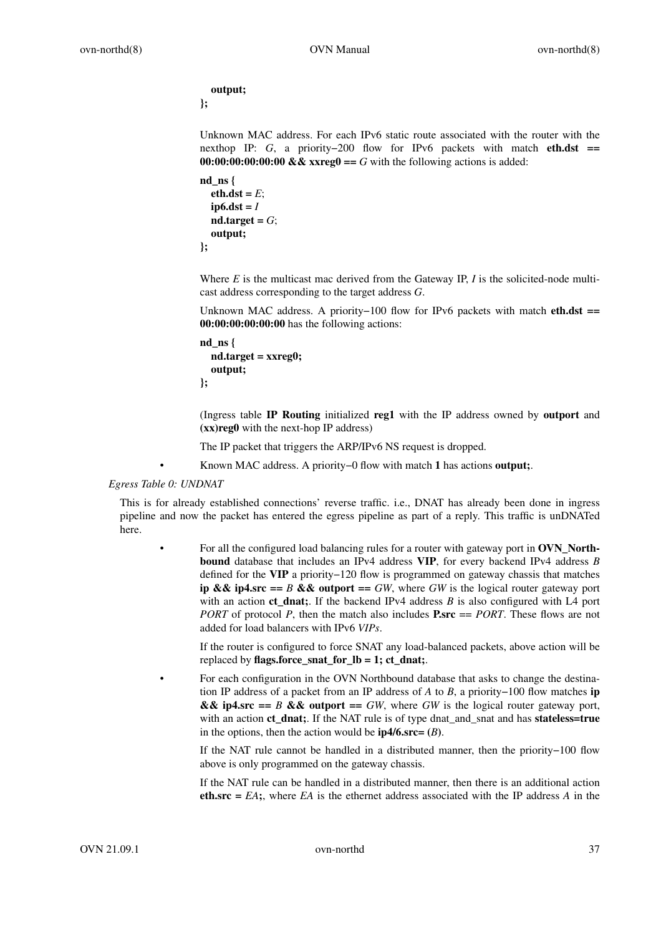**output; };**

Unknown MAC address. For each IPv6 static route associated with the router with the nexthop IP: *G*, a priority−200 flow for IPv6 packets with match **eth.dst** == **00:00:00:00:00:00 && xxreg0 ==** *G* with the following actions is added:

```
nd_ns {
  eth.dst = E;
  ip6.dst = I
  nd-target = G;output;
};
```
Where *E* is the multicast mac derived from the Gateway IP, *I* is the solicited-node multicast address corresponding to the target address *G*.

Unknown MAC address. A priority−100 flow for IPv6 packets with match **eth.dst == 00:00:00:00:00:00** has the following actions:

```
nd_ns {
  nd.target = xxreg0;
  output;
};
```
(Ingress table **IP Routing** initialized **reg1** with the IP address owned by **outport** and **(xx)reg0** with the next-hop IP address)

The IP packet that triggers the ARP/IPv6 NS request is dropped.

• Known MAC address. A priority−0 flow with match **1** has actions **output;**.

### *Egress Table 0: UNDNAT*

This is for already established connections' reverse traffic. i.e., DNAT has already been done in ingress pipeline and now the packet has entered the egress pipeline as part of a reply. This traffic is unDNATed here.

• For all the configured load balancing rules for a router with gateway port in **OVN\_Northbound** database that includes an IPv4 address **VIP**, for every backend IPv4 address *B* defined for the **VIP** a priority−120 flow is programmed on gateway chassis that matches **ip && ip4.src ==** *B* **&& outport ==** *GW*, where *GW* is the logical router gateway port with an action **ct\_dnat;**. If the backend IPv4 address *B* is also configured with L4 port *PORT* of protocol *P*, then the match also includes **P.src** == *PORT*. These flows are not added for load balancers with IPv6 *VIPs*.

If the router is configured to force SNAT any load-balanced packets, above action will be replaced by **flags.force\_snat\_for\_lb = 1; ct\_dnat;**.

• For each configuration in the OVN Northbound database that asks to change the destination IP address of a packet from an IP address of *A* to *B*,apriority−100 flow matches **ip && ip4.src ==** *B* **&& outport ==** *GW***, where** *GW* **is the logical router gateway port,** with an action **ct** dnat; If the NAT rule is of type dnat and snat and has **stateless=true** in the options, then the action would be  $ip4/6$ . **src=**  $(B)$ .

If the NAT rule cannot be handled in a distributed manner, then the priority−100 flow above is only programmed on the gateway chassis.

If the NAT rule can be handled in a distributed manner, then there is an additional action **eth.src =** *EA***;**, where *EA* is the ethernet address associated with the IP address *A* in the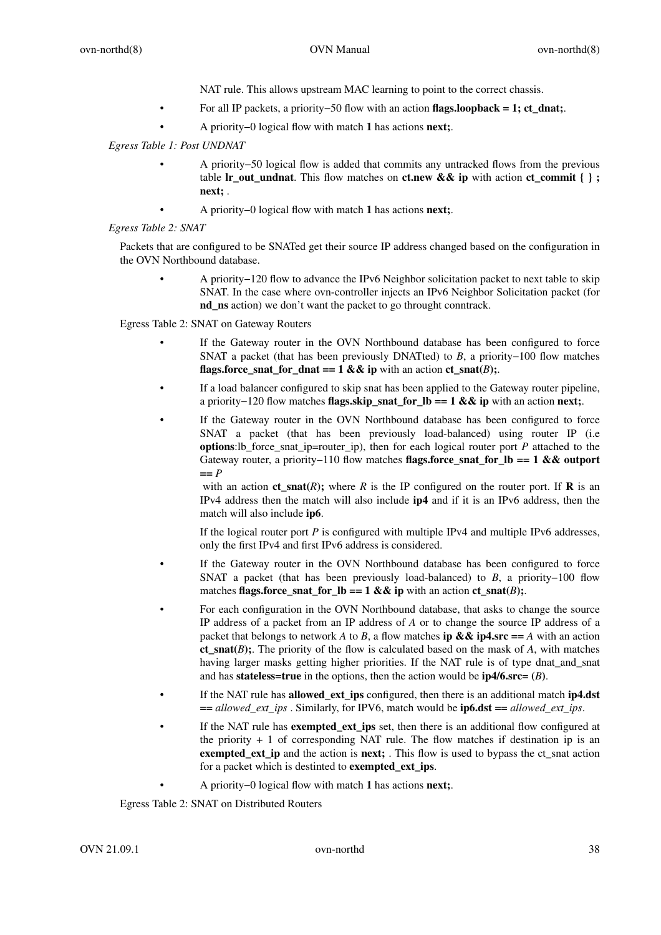NAT rule. This allows upstream MAC learning to point to the correct chassis.

- For all IP packets, a priority−50 flow with an action **flags.loopback = 1; ct\_dnat;**.
- A priority−0 logical flow with match **1** has actions **next;**.

# *Egress Table 1: Post UNDNAT*

- A priority−50 logical flow is added that commits any untracked flows from the previous table **lr\_out\_undnat**. This flow matches on **ct.new && ip** with action **ct\_commit { } ; next;** .
- A priority−0 logical flow with match **1** has actions **next;**.

# *Egress Table 2: SNAT*

Packets that are configured to be SNATed get their source IP address changed based on the configuration in the OVN Northbound database.

• A priority−120 flow to advance the IPv6 Neighbor solicitation packet to next table to skip SNAT . In the case where ovn-controller injects an IPv6 Neighbor Solicitation packet (for **nd\_ns** action) we don't want the packet to go throught conntrack.

Egress Table 2: SNAT on Gateway Routers

- If the Gateway router in the OVN Northbound database has been configured to force SNAT a packet (that has been previously DNATted) to *B*, a priority−100 flow matches **flags.force\_snat\_for\_dnat == 1 && ip** with an action  $ct$ \_snat(*B*);.
- If a load balancer configured to skip snat has been applied to the Gateway router pipeline, a priority−120 flow matches **flags.skip\_snat\_for\_lb == 1 && ip** with an action **next;**.
- If the Gateway router in the OVN Northbound database has been configured to force SNAT a packet (that has been previously load-balanced) using router IP (i.e **options**:lb\_force\_snat\_ip=router\_ip), then for each logical router port *P* attached to the Gateway router, a priority−110 flow matches **flags.force\_snat\_for\_lb == 1 && outport ==** *P*

with an action  $ct\_snat(R)$ ; where *R* is the IP configured on the router port. If **R** is an IPv4 address then the match will also include **ip4** and if it is an IPv6 address, then the match will also include **ip6**.

If the logical router port *P* is configured with multiple IPv4 and multiple IPv6 addresses, only the first IPv4 and first IPv6 address is considered.

- If the Gateway router in the OVN Northbound database has been configured to force SNAT a packet (that has been previously load-balanced) to  $B$ , a priority−100 flow matches **flags.force\_snat\_for\_lb == 1 && ip** with an action  $ct\_snat(B)$ ;
- For each configuration in the OVN Northbound database, that asks to change the source IP address of a packet from an IP address of *A* or to change the source IP address of a packet that belongs to network *A* to *B*, a flow matches **ip && ip4.src** == *A* with an action **ct\_snat(***B***);**. The priority of the flow is calculated based on the mask of *A*, with matches having larger masks getting higher priorities. If the NAT rule is of type dnat\_and\_snat and has **stateless=true** in the options, then the action would be  $ip4/6$ **src=**  $(B)$ .
- If the NAT rule has **allowed\_ext\_ips** configured, then there is an additional match **ip4.dst ==** *allowed\_ext\_ips* . Similarly, for IPV6, match would be **ip6.dst ==** *allowed\_ext\_ips*.
- If the NAT rule has **exempted\_ext\_ips** set, then there is an additional flow configured at the priority + 1 of corresponding NAT rule. The flow matches if destination ip is an **exempted\_ext\_ip** and the action is **next;** . This flow is used to bypass the ct\_snat action for a packet which is destinted to **exempted\_ext\_ips**.
	- A priority−0 logical flow with match **1** has actions **next;**.

Egress Table 2: SNAT on Distributed Routers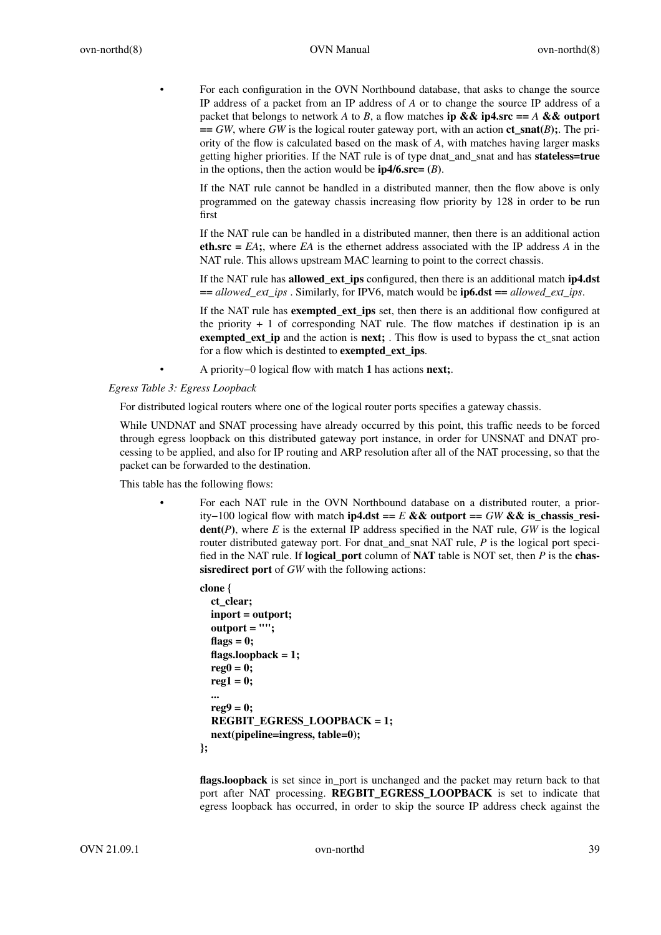• For each configuration in the OVN Northbound database, that asks to change the source IP address of a packet from an IP address of *A* or to change the source IP address of a packet that belongs to network *A* to *B*, a flow matches **ip && ip4.src** == *A* && outport **==** *GW*, where *GW* is the logical router gateway port, with an action **ct\_snat(***B***);**. The priority of the flow is calculated based on the mask of *A*, with matches having larger masks getting higher priorities. If the NAT rule is of type dnat\_and\_snat and has **stateless=true** in the options, then the action would be  $ip4/6$ . **src=**  $(B)$ .

If the NAT rule cannot be handled in a distributed manner, then the flow above is only programmed on the gateway chassis increasing flow priority by 128 in order to be run first

If the NAT rule can be handled in a distributed manner, then there is an additional action **eth.src =** *EA***;**, where *EA* is the ethernet address associated with the IP address *A* in the NAT rule. This allows upstream MAC learning to point to the correct chassis.

If the NAT rule has **allowed\_ext\_ips** configured, then there is an additional match **ip4.dst**  $=$  *allowed ext ips* . Similarly, for IPV6, match would be **ip6.dst**  $=$  *allowed ext ips*.

If the NAT rule has **exempted\_ext\_ips** set, then there is an additional flow configured at the priority  $+1$  of corresponding NAT rule. The flow matches if destination ip is an **exempted\_ext\_ip** and the action is **next;** . This flow is used to bypass the ct\_snat action for a flow which is destinted to **exempted\_ext\_ips**.

• A priority−0 logical flow with match **1** has actions **next;**.

*Egress Table 3: Egress Loopback*

For distributed logical routers where one of the logical router ports specifies a gateway chassis.

While UNDNAT and SNAT processing have already occurred by this point, this traffic needs to be forced through egress loopback on this distributed gateway port instance, in order for UNSNAT and DNAT processing to be applied, and also for IP routing and ARP resolution after all of the NAT processing, so that the packet can be forwarded to the destination.

This table has the following flows:

For each NAT rule in the OVN Northbound database on a distributed router, a priority−100 logical flow with match **ip4.dst ==** *E* **&& outport ==** *GW* **&& is\_chassis\_resident**( $P$ ), where  $E$  is the external IP address specified in the NAT rule,  $GW$  is the logical router distributed gateway port. For dnat and snat NAT rule, *P* is the logical port specified in the NAT rule. If **logical\_port** column of **NAT** table is NOT set, then *P* is the **chassisredirect port** of *GW* with the following actions:

```
clone {
  ct_clear;
  inport = outport;
  outport = "";
  flags = 0;
  flags.loopback = 1;
  reg0 = 0;
  reg1 = 0;
  ...
  reg9 = 0;
  REGBIT_EGRESS_LOOPBACK=1;
  next(pipeline=ingress, table=0);
};
```
**flags.loopback** is set since in\_port is unchanged and the packet may return back to that port after NAT processing. **REGBIT\_EGRESS\_LOOPBACK** is set to indicate that egress loopback has occurred, in order to skip the source IP address check against the